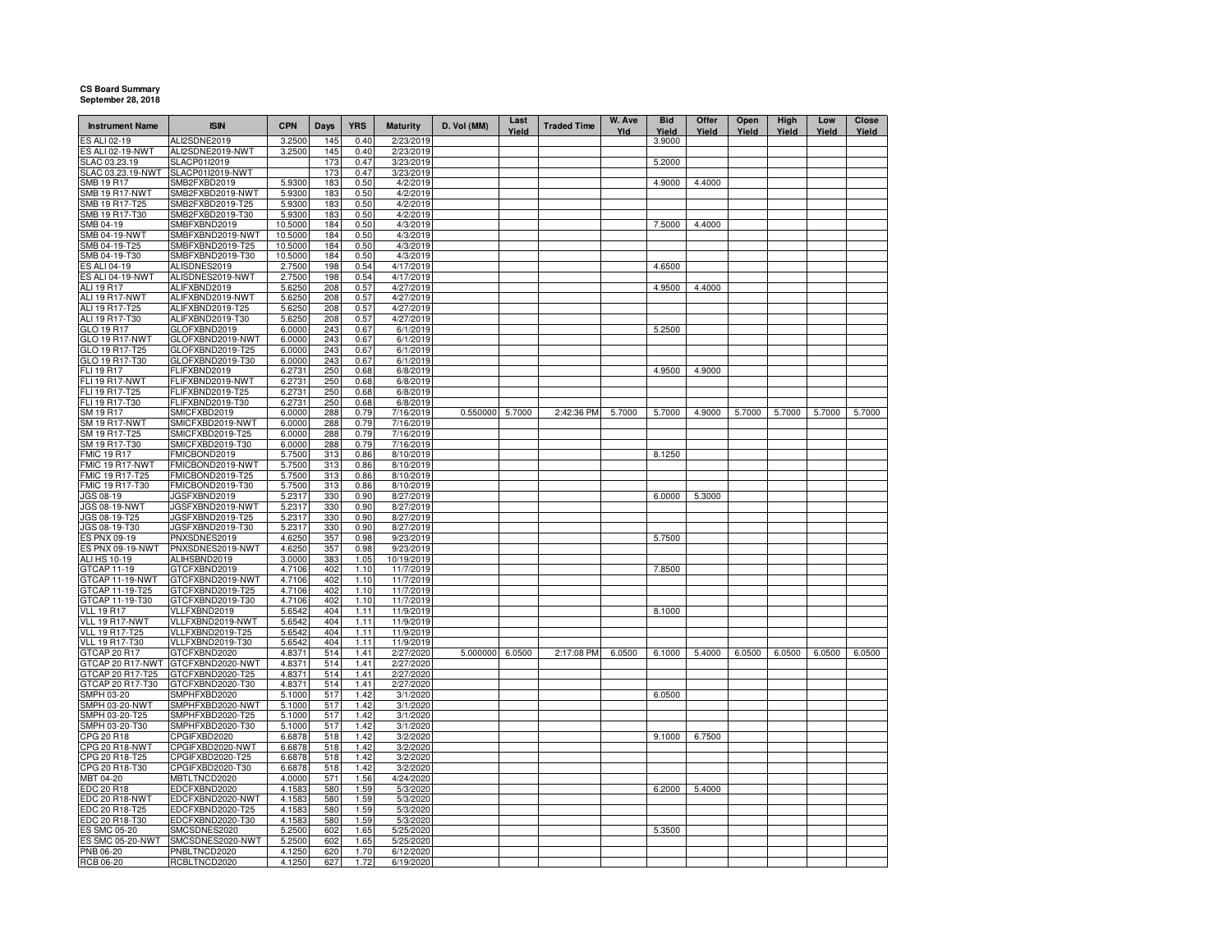## **CS Board Summary September 28, 2018**

| <b>Instrument Name</b>              | <b>ISIN</b>                          | <b>CPN</b>       | Days       | <b>YRS</b>   | <b>Maturity</b>        | D. Vol (MM)     | Last<br>Yield | <b>Traded Time</b> | W. Ave<br>Yld | <b>Bid</b><br>Yield | Offer<br>Yield | Open<br>Yield | High<br>Yield | Low<br>Yield | Close<br>Yield |
|-------------------------------------|--------------------------------------|------------------|------------|--------------|------------------------|-----------------|---------------|--------------------|---------------|---------------------|----------------|---------------|---------------|--------------|----------------|
| ES ALI 02-19                        | ALI2SDNE2019                         | 3.2500           | 145        | 0.40         | 2/23/2019              |                 |               |                    |               | 3.9000              |                |               |               |              |                |
| ES ALI 02-19-NWT                    | ALI2SDNE2019-NWT                     | 3.2500           | 145        | 0.40         | 2/23/2019              |                 |               |                    |               |                     |                |               |               |              |                |
| SLAC 03.23.19                       | SLACP01I2019                         |                  | 173        | 0.47         | 3/23/2019              |                 |               |                    |               | 5.2000              |                |               |               |              |                |
| SLAC 03.23.19-NWT                   | SLACP01I2019-NWT                     |                  | 173        | 0.47         | 3/23/2019              |                 |               |                    |               |                     |                |               |               |              |                |
| SMB 19 R17<br><b>SMB 19 R17-NWT</b> | SMB2FXBD2019<br>SMB2FXBD2019-NWT     | 5.9300<br>5.9300 | 183<br>183 | 0.50<br>0.50 | 4/2/2019<br>4/2/2019   |                 |               |                    |               | 4.9000              | 4.4000         |               |               |              |                |
| SMB 19 R17-T25                      | SMB2FXBD2019-T25                     | 5.9300           | 183        | 0.50         | 4/2/2019               |                 |               |                    |               |                     |                |               |               |              |                |
| SMB 19 R17-T30                      | SMB2FXBD2019-T30                     | 5.9300           | 183        | 0.50         | 4/2/2019               |                 |               |                    |               |                     |                |               |               |              |                |
| SMB 04-19                           | SMBFXBND2019                         | 10.5000          | 184        | 0.50         | 4/3/2019               |                 |               |                    |               | 7.5000              | 4.4000         |               |               |              |                |
| SMB 04-19-NWT                       | SMBFXBND2019-NWT                     | 10.5000          | 184        | 0.50         | 4/3/2019               |                 |               |                    |               |                     |                |               |               |              |                |
| SMB 04-19-T25                       | SMBFXBND2019-T25                     | 10.5000          | 184        | 0.50         | 4/3/2019               |                 |               |                    |               |                     |                |               |               |              |                |
| SMB 04-19-T30                       | SMBFXBND2019-T30                     | 10.5000          | 184        | 0.50         | 4/3/2019               |                 |               |                    |               |                     |                |               |               |              |                |
| ES ALI 04-19                        | ALISDNES2019                         | 2.7500           | 198        | 0.54         | 4/17/2019              |                 |               |                    |               | 4.6500              |                |               |               |              |                |
| ES ALI 04-19-NWT                    | ALISDNES2019-NWT                     | 2.7500           | 198        | 0.54         | 4/17/2019              |                 |               |                    |               |                     |                |               |               |              |                |
| ALI 19 R17<br><b>ALI 19 R17-NWT</b> | ALIFXBND2019<br>ALIFXBND2019-NWT     | 5.6250<br>5.6250 | 208<br>208 | 0.57<br>0.57 | 4/27/2019<br>4/27/2019 |                 |               |                    |               | 4.9500              | 4.4000         |               |               |              |                |
| ALI 19 R17-T25                      | ALIFXBND2019-T25                     | 5.6250           | 208        | 0.57         | 4/27/2019              |                 |               |                    |               |                     |                |               |               |              |                |
| ALI 19 R17-T30                      | ALIFXBND2019-T30                     | 5.6250           | 208        | 0.57         | 4/27/2019              |                 |               |                    |               |                     |                |               |               |              |                |
| GLO 19 R17                          | GLOFXBND2019                         | 6.0000           | 243        | 0.67         | 6/1/2019               |                 |               |                    |               | 5.2500              |                |               |               |              |                |
| GLO 19 R17-NWT                      | GLOFXBND2019-NWT                     | 6.0000           | 243        | 0.67         | 6/1/2019               |                 |               |                    |               |                     |                |               |               |              |                |
| GLO 19 R17-T25                      | GLOFXBND2019-T25                     | 6.0000           | 243        | 0.67         | 6/1/2019               |                 |               |                    |               |                     |                |               |               |              |                |
| GLO 19 R17-T30                      | GLOFXBND2019-T30                     | 6.0000           | 243        | 0.67         | 6/1/2019               |                 |               |                    |               |                     |                |               |               |              |                |
| FLI 19 R17                          | FLIFXBND2019                         | 6.2731           | 250        | 0.68         | 6/8/2019               |                 |               |                    |               | 4.9500              | 4.9000         |               |               |              |                |
| <b>FLI 19 R17-NWT</b>               | FLIFXBND2019-NWT                     | 6.2731           | 250        | 0.68         | 6/8/2019               |                 |               |                    |               |                     |                |               |               |              |                |
| FLI 19 R17-T25                      | FLIFXBND2019-T25                     | 6.2731           | 250        | 0.68         | 6/8/2019               |                 |               |                    |               |                     |                |               |               |              |                |
| FLI 19 R17-T30                      | FLIFXBND2019-T30                     | 6.2731           | 250        | 0.68         | 6/8/2019               |                 |               |                    |               |                     |                |               |               |              |                |
| SM 19 R17<br><b>SM 19 R17-NWT</b>   | SMICFXBD2019<br>SMICFXBD2019-NWT     | 6.0000           | 288        | 0.79         | 7/16/2019              | 0.550000 5.7000 |               | 2:42:36 PM         | 5.7000        | 5.7000              | 4.9000         | 5.7000        | 5.7000        | 5.7000       | 5.7000         |
| SM 19 R17-T25                       | SMICFXBD2019-T25                     | 6.0000<br>6.0000 | 288<br>288 | 0.79<br>0.79 | 7/16/2019<br>7/16/2019 |                 |               |                    |               |                     |                |               |               |              |                |
| SM 19 R17-T30                       | SMICFXBD2019-T30                     | 6.0000           | 288        | 0.79         | 7/16/2019              |                 |               |                    |               |                     |                |               |               |              |                |
| <b>FMIC 19 R17</b>                  | FMICBOND2019                         | 5.7500           | 313        | 0.86         | 8/10/2019              |                 |               |                    |               | 8.1250              |                |               |               |              |                |
| FMIC 19 R17-NWT                     | FMICBOND2019-NWT                     | 5.7500           | 313        | 0.86         | 8/10/2019              |                 |               |                    |               |                     |                |               |               |              |                |
| FMIC 19 R17-T25                     | FMICBOND2019-T25                     | 5.7500           | 313        | 0.86         | 8/10/2019              |                 |               |                    |               |                     |                |               |               |              |                |
| FMIC 19 R17-T30                     | FMICBOND2019-T30                     | 5.7500           | 313        | 0.86         | 8/10/2019              |                 |               |                    |               |                     |                |               |               |              |                |
| JGS 08-19                           | JGSFXBND2019                         | 5.2317           | 330        | 0.90         | 8/27/2019              |                 |               |                    |               | 6.0000              | 5.3000         |               |               |              |                |
| JGS 08-19-NWT                       | JGSFXBND2019-NWT                     | 5.2317           | 330        | 0.90         | 8/27/2019              |                 |               |                    |               |                     |                |               |               |              |                |
| JGS 08-19-T25                       | JGSFXBND2019-T25                     | 5.2317           | 330        | 0.90         | 8/27/2019              |                 |               |                    |               |                     |                |               |               |              |                |
| JGS 08-19-T30                       | JGSFXBND2019-T30                     | 5.2317           | 330        | 0.90         | 8/27/2019              |                 |               |                    |               |                     |                |               |               |              |                |
| ES PNX 09-19<br>ES PNX 09-19-NWT    | PNXSDNES2019<br>PNXSDNES2019-NWT     | 4.6250<br>4.6250 | 357<br>357 | 0.98<br>0.98 | 9/23/2019<br>9/23/2019 |                 |               |                    |               | 5.7500              |                |               |               |              |                |
| ALI HS 10-19                        | ALIHSBND2019                         | 3.0000           | 383        | 1.05         | 10/19/2019             |                 |               |                    |               |                     |                |               |               |              |                |
| GTCAP 11-19                         | GTCFXBND2019                         | 4.7106           | 402        | 1.10         | 11/7/2019              |                 |               |                    |               | 7.8500              |                |               |               |              |                |
| GTCAP 11-19-NWT                     | GTCFXBND2019-NWT                     | 4.7106           | 402        | 1.10         | 11/7/2019              |                 |               |                    |               |                     |                |               |               |              |                |
| GTCAP 11-19-T25                     | GTCFXBND2019-T25                     | 4.7106           | 402        | 1.10         | 11/7/2019              |                 |               |                    |               |                     |                |               |               |              |                |
| GTCAP 11-19-T30                     | GTCFXBND2019-T30                     | 4.7106           | 402        | 1.10         | 11/7/2019              |                 |               |                    |               |                     |                |               |               |              |                |
| <b>VLL 19 R17</b>                   | VLLFXBND2019                         | 5.6542           | 404        | 1.11         | 11/9/2019              |                 |               |                    |               | 8.1000              |                |               |               |              |                |
| VLL 19 R17-NWT                      | VLLFXBND2019-NWT                     | 5.6542           | 404        | 1.11         | 11/9/2019              |                 |               |                    |               |                     |                |               |               |              |                |
| <b>VLL 19 R17-T25</b>               | VLLFXBND2019-T25                     | 5.6542           | 404        | 1.11         | 11/9/2019              |                 |               |                    |               |                     |                |               |               |              |                |
| VLL 19 R17-T30<br>GTCAP 20 R17      | VLLFXBND2019-T30<br>GTCFXBND2020     | 5.6542<br>4.8371 | 404<br>514 | 1.11<br>1.41 | 11/9/2019<br>2/27/2020 | 5.000000 6.0500 |               | 2:17:08 PM         | 6.0500        | 6.1000              | 5.4000         | 6.0500        | 6.0500        | 6.0500       | 6.0500         |
| GTCAP 20 R17-NWT                    | GTCFXBND2020-NWT                     | 4.8371           | 514        | 1.41         | 2/27/2020              |                 |               |                    |               |                     |                |               |               |              |                |
| GTCAP 20 R17-T25                    | GTCFXBND2020-T25                     | 4.8371           | 514        | 1.41         | 2/27/2020              |                 |               |                    |               |                     |                |               |               |              |                |
| GTCAP 20 R17-T30                    | GTCFXBND2020-T30                     | 4.8371           | 514        | 1.41         | 2/27/2020              |                 |               |                    |               |                     |                |               |               |              |                |
| SMPH 03-20                          | SMPHFXBD2020                         | 5.1000           | 517        | 1.42         | 3/1/2020               |                 |               |                    |               | 6.0500              |                |               |               |              |                |
| SMPH 03-20-NWT                      | SMPHFXBD2020-NWT                     | 5.1000           | 517        | 1.42         | 3/1/2020               |                 |               |                    |               |                     |                |               |               |              |                |
| SMPH 03-20-T25                      | SMPHFXBD2020-T25                     | 5.1000           | 517        | 1.42         | 3/1/2020               |                 |               |                    |               |                     |                |               |               |              |                |
| SMPH 03-20-T30                      | SMPHFXBD2020-T30                     | 5.1000           | 517        | 1.42         | 3/1/2020               |                 |               |                    |               |                     |                |               |               |              |                |
| CPG 20 R18                          | CPGIFXBD2020                         | 6.6878           | 518        | 1.42         | 3/2/2020               |                 |               |                    |               | 9.1000              | 6.7500         |               |               |              |                |
| CPG 20 R18-NWT<br>CPG 20 R18-T25    | CPGIFXBD2020-NWT<br>CPGIFXBD2020-T25 | 6.6878<br>6.6878 | 518<br>518 | 1.42<br>1.42 | 3/2/2020<br>3/2/2020   |                 |               |                    |               |                     |                |               |               |              |                |
| CPG 20 R18-T30                      | CPGIFXBD2020-T30                     | 6.6878           | 518        | 1.42         | 3/2/2020               |                 |               |                    |               |                     |                |               |               |              |                |
| MBT 04-20                           | MBTLTNCD2020                         | 4.0000           | 571        | 1.56         | 4/24/2020              |                 |               |                    |               |                     |                |               |               |              |                |
| <b>EDC 20 R18</b>                   | EDCFXBND2020                         | 4.1583           | 580        | 1.59         | 5/3/2020               |                 |               |                    |               | 6.2000              | 5.4000         |               |               |              |                |
| EDC 20 R18-NWT                      | EDCFXBND2020-NWT                     | 4.1583           | 580        | 1.59         | 5/3/2020               |                 |               |                    |               |                     |                |               |               |              |                |
| EDC 20 R18-T25                      | EDCFXBND2020-T25                     | 4.1583           | 580        | 1.59         | 5/3/2020               |                 |               |                    |               |                     |                |               |               |              |                |
| EDC 20 R18-T30                      | EDCFXBND2020-T30                     | 4.1583           | 580        | 1.59         | 5/3/2020               |                 |               |                    |               |                     |                |               |               |              |                |
| <b>ES SMC 05-20</b>                 | SMCSDNES2020                         | 5.2500           | 602        | 1.65         | 5/25/2020              |                 |               |                    |               | 5.3500              |                |               |               |              |                |
| <b>ES SMC 05-20-NWT</b>             | SMCSDNES2020-NWT                     | 5.2500           | 602        | 1.65         | 5/25/2020              |                 |               |                    |               |                     |                |               |               |              |                |
| PNB 06-20                           | PNBLTNCD2020                         | 4.1250           | 620        | 1.70         | 6/12/2020              |                 |               |                    |               |                     |                |               |               |              |                |
| <b>RCB 06-20</b>                    | RCBLTNCD2020                         | 4.1250           | 627        | 1.72         | 6/19/2020              |                 |               |                    |               |                     |                |               |               |              |                |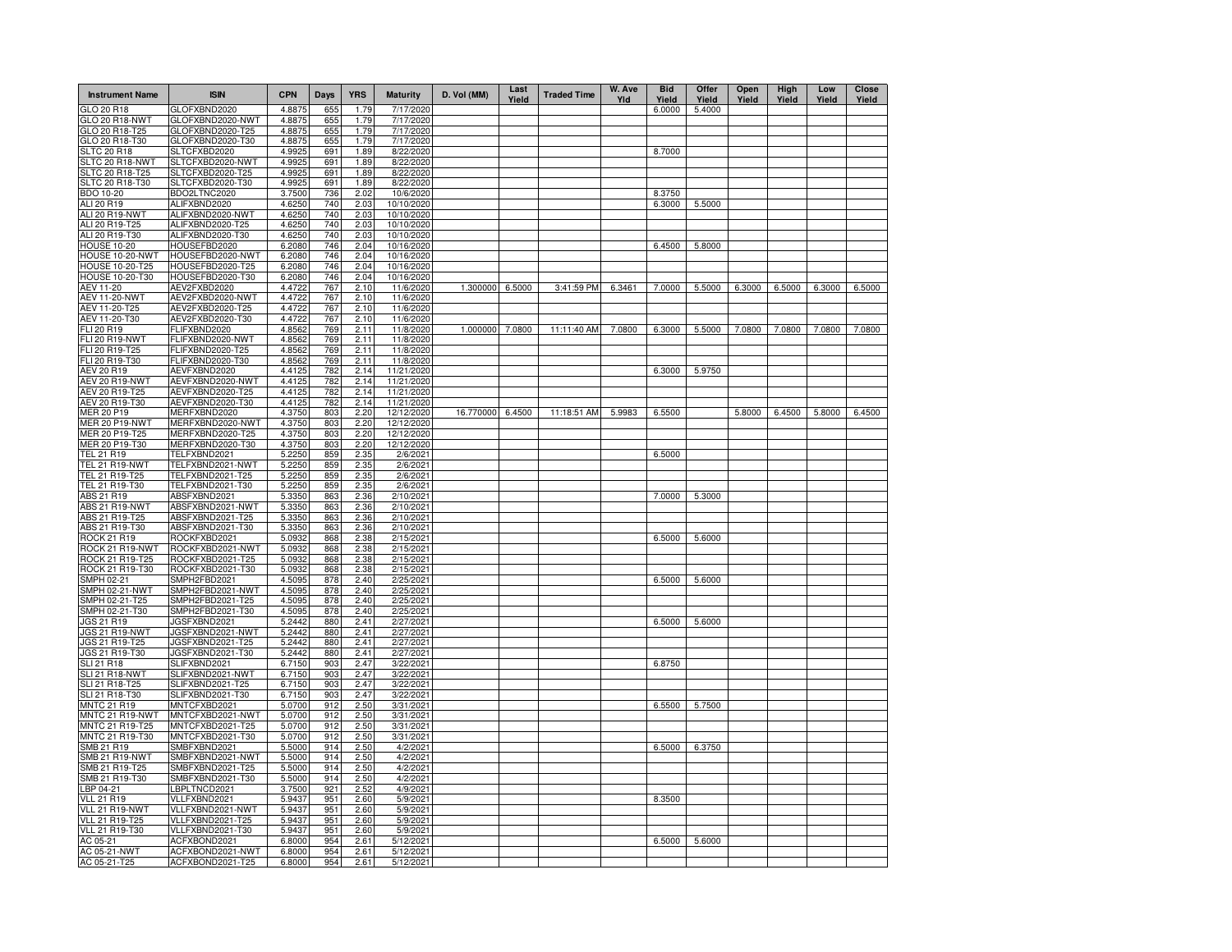| <b>Instrument Name</b>               | <b>ISIN</b>                          | <b>CPN</b>       | Days       | <b>YRS</b>   | <b>Maturity</b>          | D. Vol (MM)      | Last<br>Yield | <b>Traded Time</b> | W. Ave<br>Yld | <b>Bid</b><br>Yield | Offer<br>Yield | Open<br>Yield | High<br>Yield | Low<br>Yield | Close<br>Yield |
|--------------------------------------|--------------------------------------|------------------|------------|--------------|--------------------------|------------------|---------------|--------------------|---------------|---------------------|----------------|---------------|---------------|--------------|----------------|
| GLO 20 R18                           | GLOFXBND2020                         | 4.8875           | 655        | 1.79         | 7/17/2020                |                  |               |                    |               | 6.0000              | 5.4000         |               |               |              |                |
| GLO 20 R18-NWT                       | GLOFXBND2020-NWT                     | 4.8875           | 655        | 1.79         | 7/17/2020                |                  |               |                    |               |                     |                |               |               |              |                |
| GLO 20 R18-T25                       | GLOFXBND2020-T25                     | 4.8875           | 655        | 1.79         | 7/17/2020                |                  |               |                    |               |                     |                |               |               |              |                |
| GLO 20 R18-T30<br><b>SLTC 20 R18</b> | GLOFXBND2020-T30<br>SLTCFXBD2020     | 4.8875<br>4.9925 | 655<br>691 | 1.79<br>1.89 | 7/17/2020<br>8/22/2020   |                  |               |                    |               | 8.7000              |                |               |               |              |                |
| SLTC 20 R18-NWT                      | SLTCFXBD2020-NWT                     | 4.9925           | 691        | 1.89         | 8/22/2020                |                  |               |                    |               |                     |                |               |               |              |                |
| SLTC 20 R18-T25                      | SLTCFXBD2020-T25                     | 4.9925           | 691        | 1.89         | 8/22/2020                |                  |               |                    |               |                     |                |               |               |              |                |
| SLTC 20 R18-T30                      | SLTCFXBD2020-T30                     | 4.9925           | 691        | 1.89         | 8/22/2020                |                  |               |                    |               |                     |                |               |               |              |                |
| BDO 10-20                            | BDO2LTNC2020                         | 3.7500           | 736        | 2.02         | 10/6/2020                |                  |               |                    |               | 8.3750              |                |               |               |              |                |
| ALI 20 R19                           | ALIFXBND2020                         | 4.6250           | 740        | 2.03         | 10/10/2020               |                  |               |                    |               | 6.3000              | 5.5000         |               |               |              |                |
| ALI 20 R19-NWT                       | ALIFXBND2020-NWT                     | 4.6250           | 740        | 2.03         | 10/10/2020               |                  |               |                    |               |                     |                |               |               |              |                |
| ALI 20 R19-T25                       | ALIFXBND2020-T25                     | 4.6250           | 740        | 2.03         | 10/10/2020               |                  |               |                    |               |                     |                |               |               |              |                |
| ALI 20 R19-T30                       | ALIFXBND2020-T30                     | 4.6250           | 740        | 2.03         | 10/10/2020               |                  |               |                    |               |                     |                |               |               |              |                |
| <b>HOUSE 10-20</b>                   | HOUSEFBD2020                         | 6.2080           | 746        | 2.04         | 10/16/2020               |                  |               |                    |               | 6.4500              | 5.8000         |               |               |              |                |
| HOUSE 10-20-NWT<br>HOUSE 10-20-T25   | HOUSEFBD2020-NWT<br>HOUSEFBD2020-T25 | 6.2080<br>6.2080 | 746<br>746 | 2.04<br>2.04 | 10/16/2020<br>10/16/2020 |                  |               |                    |               |                     |                |               |               |              |                |
| <b>HOUSE 10-20-T30</b>               | HOUSEFBD2020-T30                     | 6.2080           | 746        | 2.04         | 10/16/2020               |                  |               |                    |               |                     |                |               |               |              |                |
| AEV 11-20                            | AEV2FXBD2020                         | 4.4722           | 767        | 2.10         | 11/6/2020                | 1.300000 6.5000  |               | 3:41:59 PM         | 6.3461        | 7.0000              | 5.5000         | 6.3000        | 6.5000        | 6.3000       | 6.5000         |
| <b>AEV 11-20-NWT</b>                 | AEV2FXBD2020-NWT                     | 4.4722           | 767        | 2.10         | 11/6/2020                |                  |               |                    |               |                     |                |               |               |              |                |
| AEV 11-20-T25                        | AEV2FXBD2020-T25                     | 4.4722           | 767        | 2.10         | 11/6/2020                |                  |               |                    |               |                     |                |               |               |              |                |
| AEV 11-20-T30                        | AEV2FXBD2020-T30                     | 4.4722           | 767        | 2.10         | 11/6/2020                |                  |               |                    |               |                     |                |               |               |              |                |
| FLI 20 R19                           | FLIFXBND2020                         | 4.8562           | 769        | 2.11         | 11/8/2020                | 1.000000         | 7.0800        | 11:11:40 AM        | 7.0800        | 6.3000              | 5.5000         | 7.0800        | 7.0800        | 7.0800       | 7.0800         |
| FLI 20 R19-NWT                       | FLIFXBND2020-NWT                     | 4.8562           | 769        | 2.11         | 11/8/2020                |                  |               |                    |               |                     |                |               |               |              |                |
| FLI 20 R19-T25                       | FLIFXBND2020-T25                     | 4.8562           | 769        | 2.11         | 11/8/2020                |                  |               |                    |               |                     |                |               |               |              |                |
| FLI 20 R19-T30                       | FLIFXBND2020-T30                     | 4.8562           | 769        | 2.11         | 11/8/2020                |                  |               |                    |               |                     |                |               |               |              |                |
| AEV 20 R19                           | AEVFXBND2020                         | 4.4125           | 782        | 2.14         | 11/21/2020               |                  |               |                    |               | 6.3000              | 5.9750         |               |               |              |                |
| <b>AEV 20 R19-NWT</b>                | AEVFXBND2020-NWT                     | 4.4125           | 782        | 2.14         | 11/21/2020               |                  |               |                    |               |                     |                |               |               |              |                |
| AEV 20 R19-T25                       | AEVFXBND2020-T25                     | 4.4125           | 782<br>782 | 2.14         | 11/21/2020               |                  |               |                    |               |                     |                |               |               |              |                |
| AEV 20 R19-T30<br>MER 20 P19         | AEVFXBND2020-T30<br>MERFXBND2020     | 4.4125<br>4.3750 | 803        | 2.14<br>2.20 | 11/21/2020<br>12/12/2020 | 16.770000 6.4500 |               | 11:18:51 AM        | 5.9983        | 6.5500              |                | 5.8000        | 6.4500        | 5.8000       | 6.4500         |
| <b>MER 20 P19-NWT</b>                | MERFXBND2020-NWT                     | 4.3750           | 803        | 2.20         | 12/12/2020               |                  |               |                    |               |                     |                |               |               |              |                |
| MER 20 P19-T25                       | MERFXBND2020-T25                     | 4.3750           | 803        | 2.20         | 12/12/2020               |                  |               |                    |               |                     |                |               |               |              |                |
| MER 20 P19-T30                       | MERFXBND2020-T30                     | 4.3750           | 803        | 2.20         | 12/12/2020               |                  |               |                    |               |                     |                |               |               |              |                |
| <b>TEL 21 R19</b>                    | TELFXBND2021                         | 5.2250           | 859        | 2.35         | 2/6/2021                 |                  |               |                    |               | 6.5000              |                |               |               |              |                |
| <b>TEL 21 R19-NWT</b>                | TELFXBND2021-NWT                     | 5.2250           | 859        | 2.35         | 2/6/2021                 |                  |               |                    |               |                     |                |               |               |              |                |
| TEL 21 R19-T25                       | TELFXBND2021-T25                     | 5.2250           | 859        | 2.35         | 2/6/2021                 |                  |               |                    |               |                     |                |               |               |              |                |
| TEL 21 R19-T30                       | TELFXBND2021-T30                     | 5.2250           | 859        | 2.35         | 2/6/2021                 |                  |               |                    |               |                     |                |               |               |              |                |
| ABS 21 R19                           | ABSFXBND2021                         | 5.3350           | 863        | 2.36         | 2/10/2021                |                  |               |                    |               | 7.0000              | 5.3000         |               |               |              |                |
| ABS 21 R19-NWT                       | ABSFXBND2021-NWT                     | 5.3350           | 863        | 2.36         | 2/10/2021                |                  |               |                    |               |                     |                |               |               |              |                |
| ABS 21 R19-T25                       | ABSFXBND2021-T25                     | 5.3350           | 863        | 2.36         | 2/10/2021                |                  |               |                    |               |                     |                |               |               |              |                |
| ABS 21 R19-T30                       | ABSFXBND2021-T30                     | 5.3350           | 863        | 2.36         | 2/10/2021                |                  |               |                    |               |                     |                |               |               |              |                |
| ROCK 21 R19                          | ROCKFXBD2021<br>ROCKFXBD2021-NWT     | 5.0932<br>5.0932 | 868        | 2.38         | 2/15/2021<br>2/15/2021   |                  |               |                    |               | 6.5000              | 5.6000         |               |               |              |                |
| ROCK 21 R19-NWT<br>ROCK 21 R19-T25   | ROCKFXBD2021-T25                     | 5.0932           | 868<br>868 | 2.38<br>2.38 | 2/15/2021                |                  |               |                    |               |                     |                |               |               |              |                |
| ROCK 21 R19-T30                      | ROCKFXBD2021-T30                     | 5.0932           | 868        | 2.38         | 2/15/2021                |                  |               |                    |               |                     |                |               |               |              |                |
| SMPH 02-21                           | SMPH2FBD2021                         | 4.5095           | 878        | 2.40         | 2/25/2021                |                  |               |                    |               | 6.5000              | 5.6000         |               |               |              |                |
| <b>SMPH 02-21-NWT</b>                | SMPH2FBD2021-NWT                     | 4.5095           | 878        | 2.40         | 2/25/2021                |                  |               |                    |               |                     |                |               |               |              |                |
| SMPH 02-21-T25                       | SMPH2FBD2021-T25                     | 4.5095           | 878        | 2.40         | 2/25/2021                |                  |               |                    |               |                     |                |               |               |              |                |
| SMPH 02-21-T30                       | SMPH2FBD2021-T30                     | 4.5095           | 878        | 2.40         | 2/25/2021                |                  |               |                    |               |                     |                |               |               |              |                |
| <b>JGS 21 R19</b>                    | JGSFXBND2021                         | 5.2442           | 880        | 2.41         | 2/27/2021                |                  |               |                    |               | 6.5000              | 5.6000         |               |               |              |                |
| <b>JGS 21 R19-NWT</b>                | JGSFXBND2021-NWT                     | 5.2442           | 880        | 2.41         | 2/27/2021                |                  |               |                    |               |                     |                |               |               |              |                |
| JGS 21 R19-T25                       | JGSFXBND2021-T25                     | 5.2442           | 880        | 2.41         | 2/27/2021                |                  |               |                    |               |                     |                |               |               |              |                |
| JGS 21 R19-T30                       | JGSFXBND2021-T30                     | 5.2442           | 880        | 2.41         | 2/27/2021                |                  |               |                    |               |                     |                |               |               |              |                |
| <b>SLI 21 R18</b><br>SLI 21 R18-NWT  | SLIFXBND2021<br>SLIFXBND2021-NWT     | 6.7150<br>6.7150 | 903<br>903 | 2.47<br>2.47 | 3/22/2021<br>3/22/2021   |                  |               |                    |               | 6.8750              |                |               |               |              |                |
| SLI 21 R18-T25                       | SLIFXBND2021-T25                     | 6.7150           | 903        | 2.47         | 3/22/2021                |                  |               |                    |               |                     |                |               |               |              |                |
| SLI 21 R18-T30                       | SLIFXBND2021-T30                     | 6.7150           | 903        | 2.47         | 3/22/2021                |                  |               |                    |               |                     |                |               |               |              |                |
| <b>MNTC 21 R19</b>                   | MNTCFXBD2021                         | 5.0700           | 912        | 2.50         | 3/31/2021                |                  |               |                    |               | 6.5500              | 5.7500         |               |               |              |                |
| MNTC 21 R19-NWT                      | MNTCFXBD2021-NWT                     | 5.0700           | 912        | 2.50         | 3/31/2021                |                  |               |                    |               |                     |                |               |               |              |                |
| MNTC 21 R19-T25                      | MNTCFXBD2021-T25                     | 5.0700           | 912        | 2.50         | 3/31/2021                |                  |               |                    |               |                     |                |               |               |              |                |
| MNTC 21 R19-T30                      | MNTCFXBD2021-T30                     | 5.0700           | 912        | 2.50         | 3/31/2021                |                  |               |                    |               |                     |                |               |               |              |                |
| SMB 21 R19                           | SMBFXBND2021                         | 5.5000           | 914        | 2.50         | 4/2/2021                 |                  |               |                    |               | 6.5000              | 6.3750         |               |               |              |                |
| <b>SMB 21 R19-NWT</b>                | SMBFXBND2021-NWT                     | 5.5000           | 914        | 2.50         | 4/2/2021                 |                  |               |                    |               |                     |                |               |               |              |                |
| SMB 21 R19-T25                       | SMBFXBND2021-T25                     | 5.5000           | 914        | 2.50         | 4/2/2021                 |                  |               |                    |               |                     |                |               |               |              |                |
| SMB 21 R19-T30                       | SMBFXBND2021-T30                     | 5.5000           | 914        | 2.50         | 4/2/2021                 |                  |               |                    |               |                     |                |               |               |              |                |
| LBP 04-21                            | LBPLTNCD2021                         | 3.7500           | 921        | 2.52         | 4/9/2021                 |                  |               |                    |               |                     |                |               |               |              |                |
| <b>VLL 21 R19</b><br>VLL 21 R19-NWT  | VLLFXBND2021<br>VLLFXBND2021-NWT     | 5.9437<br>5.9437 | 951<br>951 | 2.60<br>2.60 | 5/9/2021<br>5/9/2021     |                  |               |                    |               | 8.3500              |                |               |               |              |                |
| VLL 21 R19-T25                       | VLLFXBND2021-T25                     | 5.9437           | 951        | 2.60         | 5/9/2021                 |                  |               |                    |               |                     |                |               |               |              |                |
| VLL 21 R19-T30                       | VLLFXBND2021-T30                     | 5.9437           | 951        | 2.60         | 5/9/2021                 |                  |               |                    |               |                     |                |               |               |              |                |
| AC 05-21                             | ACFXBOND2021                         | 6.8000           | 954        | 2.61         | 5/12/2021                |                  |               |                    |               | 6.5000              | 5.6000         |               |               |              |                |
| AC 05-21-NWT                         | ACFXBOND2021-NWT                     | 6.8000           | 954        | 2.61         | 5/12/2021                |                  |               |                    |               |                     |                |               |               |              |                |
| AC 05-21-T25                         | ACFXBOND2021-T25                     | 6.8000           | 954        | 2.61         | 5/12/2021                |                  |               |                    |               |                     |                |               |               |              |                |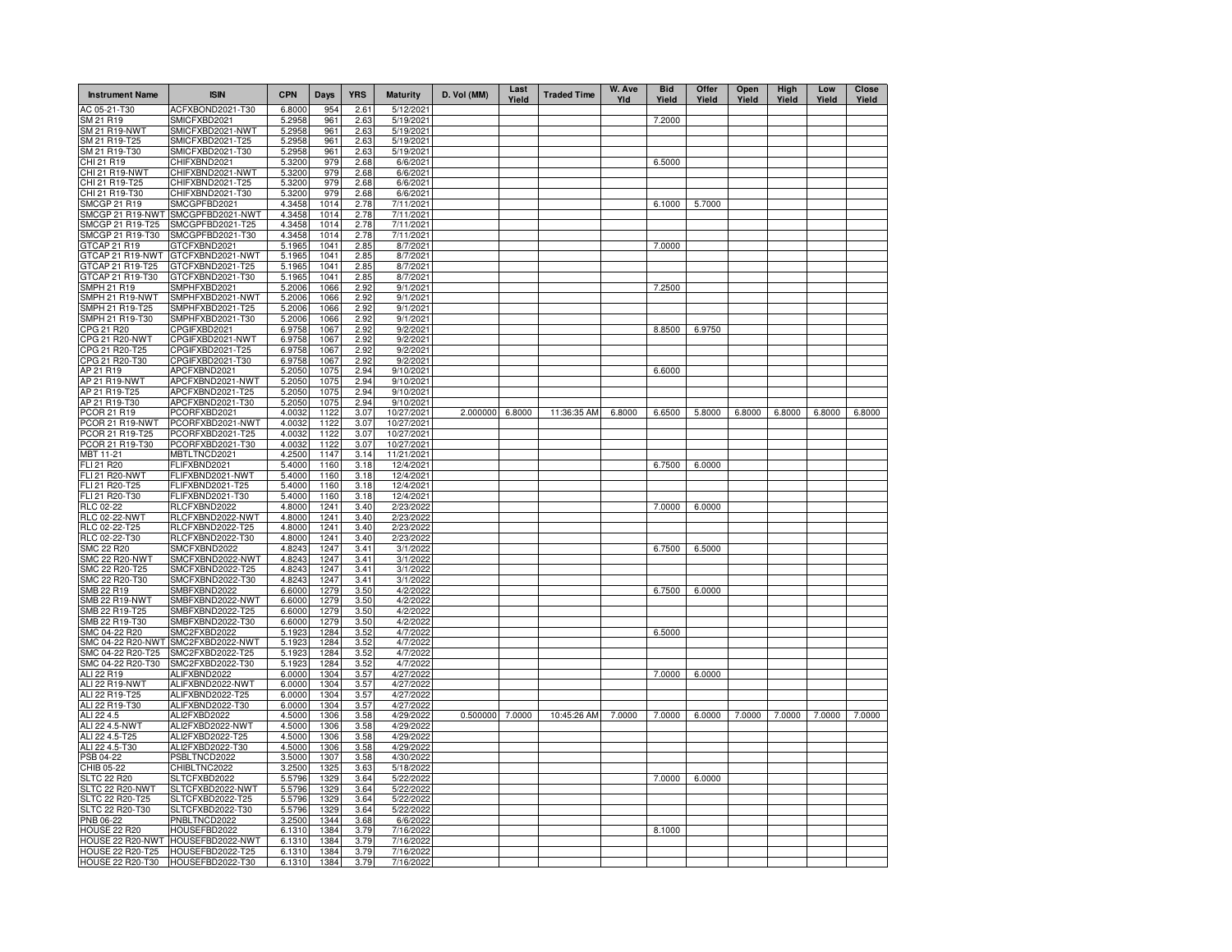| <b>Instrument Name</b>                | <b>ISIN</b>                                           | <b>CPN</b>       | <b>Days</b>  | <b>YRS</b>   | <b>Maturity</b>          | D. Vol (MM)     | Last<br>Yield | <b>Traded Time</b> | W. Ave<br>Yld | <b>Bid</b><br>Yield | Offer<br>Yield | Open<br>Yield | High<br>Yield | Low<br>Yield | <b>Close</b><br>Yield |
|---------------------------------------|-------------------------------------------------------|------------------|--------------|--------------|--------------------------|-----------------|---------------|--------------------|---------------|---------------------|----------------|---------------|---------------|--------------|-----------------------|
| AC 05-21-T30                          | ACFXBOND2021-T30                                      | 6.8000           | 954          | 2.61         | 5/12/2021                |                 |               |                    |               |                     |                |               |               |              |                       |
| SM 21 R19                             | SMICFXBD2021                                          | 5.2958           | 961          | 2.63         | 5/19/2021                |                 |               |                    |               | 7.2000              |                |               |               |              |                       |
| SM 21 R19-NWT                         | SMICFXBD2021-NWT                                      | 5.2958           | 961          | 2.63         | 5/19/2021                |                 |               |                    |               |                     |                |               |               |              |                       |
| SM 21 R19-T25                         | SMICFXBD2021-T25                                      | 5.2958           | 961          | 2.63         | 5/19/2021                |                 |               |                    |               |                     |                |               |               |              |                       |
| SM 21 R19-T30                         | SMICFXBD2021-T30                                      | 5.2958           | 961          | 2.63         | 5/19/2021                |                 |               |                    |               | 6.5000              |                |               |               |              |                       |
| CHI 21 R19<br>CHI 21 R19-NWT          | CHIFXBND2021<br>CHIFXBND2021-NWT                      | 5.3200<br>5.3200 | 979<br>979   | 2.68<br>2.68 | 6/6/202<br>6/6/2021      |                 |               |                    |               |                     |                |               |               |              |                       |
| CHI 21 R19-T25                        | CHIFXBND2021-T25                                      | 5.3200           | 979          | 2.68         | 6/6/2021                 |                 |               |                    |               |                     |                |               |               |              |                       |
| CHI 21 R19-T30                        | CHIFXBND2021-T30                                      | 5.3200           | 979          | 2.68         | 6/6/2021                 |                 |               |                    |               |                     |                |               |               |              |                       |
| SMCGP 21 R19                          | SMCGPFBD2021                                          | 4.3458           | 1014         | 2.78         | 7/11/2021                |                 |               |                    |               | 6.1000              | 5.7000         |               |               |              |                       |
| SMCGP 21 R19-NWT                      | SMCGPFBD2021-NWT                                      | 4.3458           | 1014         | 2.78         | 7/11/2021                |                 |               |                    |               |                     |                |               |               |              |                       |
| SMCGP 21 R19-T25                      | SMCGPFBD2021-T25                                      | 4.3458           | 1014         | 2.78         | 7/11/2021                |                 |               |                    |               |                     |                |               |               |              |                       |
| SMCGP 21 R19-T30                      | SMCGPFBD2021-T30                                      | 4.3458           | 1014         | 2.78         | 7/11/2021                |                 |               |                    |               |                     |                |               |               |              |                       |
| GTCAP 21 R19                          | GTCFXBND2021                                          | 5.1965           | 1041         | 2.85         | 8/7/2021                 |                 |               |                    |               | 7.0000              |                |               |               |              |                       |
| GTCAP 21 R19-NWT                      | GTCFXBND2021-NWT                                      | 5.1965           | 1041         | 2.85         | 8/7/2021                 |                 |               |                    |               |                     |                |               |               |              |                       |
| GTCAP 21 R19-T25                      | GTCFXBND2021-T25                                      | 5.1965           | 1041<br>1041 | 2.85         | 8/7/2021                 |                 |               |                    |               |                     |                |               |               |              |                       |
| GTCAP 21 R19-T30<br>SMPH 21 R19       | GTCFXBND2021-T30<br>SMPHFXBD2021                      | 5.1965<br>5.2006 | 1066         | 2.85<br>2.92 | 8/7/2021                 |                 |               |                    |               | 7.2500              |                |               |               |              |                       |
| SMPH 21 R19-NWT                       | SMPHFXBD2021-NWT                                      | 5.2006           | 1066         | 2.92         | 9/1/2021<br>9/1/2021     |                 |               |                    |               |                     |                |               |               |              |                       |
| SMPH 21 R19-T25                       | SMPHFXBD2021-T25                                      | 5.2006           | 1066         | 2.92         | 9/1/2021                 |                 |               |                    |               |                     |                |               |               |              |                       |
| SMPH 21 R19-T30                       | SMPHFXBD2021-T30                                      | 5.2006           | 1066         | 2.92         | 9/1/2021                 |                 |               |                    |               |                     |                |               |               |              |                       |
| CPG 21 R20                            | CPGIFXBD2021                                          | 6.9758           | 1067         | 2.92         | 9/2/2021                 |                 |               |                    |               | 8.8500              | 6.9750         |               |               |              |                       |
| CPG 21 R20-NWT                        | CPGIFXBD2021-NWT                                      | 6.9758           | 1067         | 2.92         | 9/2/2021                 |                 |               |                    |               |                     |                |               |               |              |                       |
| CPG 21 R20-T25                        | CPGIFXBD2021-T25                                      | 6.9758           | 1067         | 2.92         | 9/2/2021                 |                 |               |                    |               |                     |                |               |               |              |                       |
| CPG 21 R20-T30                        | CPGIFXBD2021-T30                                      | 6.9758           | 1067         | 2.92         | 9/2/2021                 |                 |               |                    |               |                     |                |               |               |              |                       |
| AP 21 R19                             | APCFXBND2021                                          | 5.2050           | 1075         | 2.94         | 9/10/2021                |                 |               |                    |               | 6.6000              |                |               |               |              |                       |
| AP 21 R19-NWT                         | APCFXBND2021-NWT                                      | 5.2050           | 1075         | 2.94         | 9/10/2021                |                 |               |                    |               |                     |                |               |               |              |                       |
| AP 21 R19-T25                         | APCFXBND2021-T25                                      | 5.2050           | 1075         | 2.94         | 9/10/2021                |                 |               |                    |               |                     |                |               |               |              |                       |
| AP 21 R19-T30<br>PCOR 21 R19          | APCFXBND2021-T30                                      | 5.2050           | 1075<br>1122 | 2.94<br>3.07 | 9/10/2021                | 2.000000 6.8000 |               | 11:36:35 AM        | 6.8000        | 6.6500              | 5.8000         | 6.8000        | 6.8000        | 6.8000       | 6.8000                |
| PCOR 21 R19-NWT                       | PCORFXBD2021<br>PCORFXBD2021-NWT                      | 4.0032<br>4.0032 | 1122         | 3.07         | 10/27/2021<br>10/27/2021 |                 |               |                    |               |                     |                |               |               |              |                       |
| PCOR 21 R19-T25                       | PCORFXBD2021-T25                                      | 4.0032           | 1122         | 3.07         | 10/27/2021               |                 |               |                    |               |                     |                |               |               |              |                       |
| PCOR 21 R19-T30                       | PCORFXBD2021-T30                                      | 4.0032           | 1122         | 3.07         | 10/27/2021               |                 |               |                    |               |                     |                |               |               |              |                       |
| MBT 11-21                             | MBTLTNCD2021                                          | 4.2500           | 1147         | 3.14         | 11/21/2021               |                 |               |                    |               |                     |                |               |               |              |                       |
| FLI 21 R20                            | FLIFXBND2021                                          | 5.4000           | 1160         | 3.18         | 12/4/2021                |                 |               |                    |               | 6.7500              | 6,0000         |               |               |              |                       |
| <b>FLI 21 R20-NWT</b>                 | FLIFXBND2021-NWT                                      | 5.4000           | 1160         | 3.18         | 12/4/2021                |                 |               |                    |               |                     |                |               |               |              |                       |
| FLI 21 R20-T25                        | FLIFXBND2021-T25                                      | 5.4000           | 1160         | 3.18         | 12/4/2021                |                 |               |                    |               |                     |                |               |               |              |                       |
| FLI 21 R20-T30                        | FLIFXBND2021-T30                                      | 5.4000           | 1160         | 3.18         | 12/4/2021                |                 |               |                    |               |                     |                |               |               |              |                       |
| RLC 02-22                             | RLCFXBND2022                                          | 4.8000           | 1241         | 3.40         | 2/23/2022                |                 |               |                    |               | 7.0000              | 6.0000         |               |               |              |                       |
| <b>RLC 02-22-NWT</b><br>RLC 02-22-T25 | RLCFXBND2022-NWT<br>RLCFXBND2022-T25                  | 4.8000<br>4.8000 | 1241<br>1241 | 3.40<br>3.40 | 2/23/2022<br>2/23/2022   |                 |               |                    |               |                     |                |               |               |              |                       |
| RLC 02-22-T30                         | RLCFXBND2022-T30                                      | 4.8000           | 1241         | 3.40         | 2/23/2022                |                 |               |                    |               |                     |                |               |               |              |                       |
| SMC 22 R20                            | SMCFXBND2022                                          | 4.8243           | 1247         | 3.41         | 3/1/2022                 |                 |               |                    |               | 6.7500              | 6.5000         |               |               |              |                       |
| <b>SMC 22 R20-NWT</b>                 | SMCFXBND2022-NWT                                      | 4.8243           | 1247         | 3.41         | 3/1/2022                 |                 |               |                    |               |                     |                |               |               |              |                       |
| SMC 22 R20-T25                        | SMCFXBND2022-T25                                      | 4.8243           | 1247         | 3.41         | 3/1/2022                 |                 |               |                    |               |                     |                |               |               |              |                       |
| SMC 22 R20-T30                        | SMCFXBND2022-T30                                      | 4.8243           | 1247         | 3.41         | 3/1/2022                 |                 |               |                    |               |                     |                |               |               |              |                       |
| SMB 22 R19                            | SMBFXBND2022                                          | 6.6000           | 1279         | 3.50         | 4/2/2022                 |                 |               |                    |               | 6.7500              | 6.0000         |               |               |              |                       |
| <b>SMB 22 R19-NWT</b>                 | SMBFXBND2022-NWT                                      | 6.6000           | 1279         | 3.50         | 4/2/2022                 |                 |               |                    |               |                     |                |               |               |              |                       |
| SMB 22 R19-T25<br>SMB 22 R19-T30      | SMBFXBND2022-T25<br>SMBFXBND2022-T30                  | 6.6000<br>6.6000 | 1279<br>1279 | 3.50         | 4/2/2022<br>4/2/2022     |                 |               |                    |               |                     |                |               |               |              |                       |
| SMC 04-22 R20                         | SMC2FXBD2022                                          | 5.1923           | 1284         | 3.50<br>3.52 | 4/7/2022                 |                 |               |                    |               | 6.5000              |                |               |               |              |                       |
| SMC 04-22 R20-NWT                     | SMC2FXBD2022-NWT                                      | 5.1923           | 1284         | 3.52         | 4/7/2022                 |                 |               |                    |               |                     |                |               |               |              |                       |
| SMC 04-22 R20-T25                     | SMC2FXBD2022-T25                                      | 5.1923           | 1284         | 3.52         | 4/7/2022                 |                 |               |                    |               |                     |                |               |               |              |                       |
| SMC 04-22 R20-T30                     | SMC2FXBD2022-T30                                      | 5.1923           | 1284         | 3.52         | 4/7/2022                 |                 |               |                    |               |                     |                |               |               |              |                       |
| ALI 22 R19                            | ALIFXBND2022                                          | 6.0000           | 1304         | 3.57         | 4/27/2022                |                 |               |                    |               | 7.0000              | 6.0000         |               |               |              |                       |
| ALI 22 R19-NWT                        | ALIFXBND2022-NWT                                      | 6.0000           | 1304         | 3.57         | 4/27/2022                |                 |               |                    |               |                     |                |               |               |              |                       |
| ALI 22 R19-T25                        | ALIFXBND2022-T25                                      | 6.0000           | 1304         | 3.57         | 4/27/2022                |                 |               |                    |               |                     |                |               |               |              |                       |
| ALI 22 R19-T30                        | ALIFXBND2022-T30                                      | 6.0000           | 1304         | 3.57         | 4/27/2022                |                 |               |                    |               |                     |                |               |               |              |                       |
| ALI 22 4.5                            | ALI2FXBD2022                                          | 4.5000           | 1306         | 3.58         | 4/29/2022                | 0.500000        | 7.0000        | 10:45:26 AM        | 7.0000        | 7.0000              | 6.0000         | 7.0000        | 7.0000        | 7.0000       | 7.0000                |
| ALI 22 4.5-NWT                        | ALI2FXBD2022-NWT<br>ALI2FXBD2022-T25                  | 4.5000<br>4.5000 | 1306<br>1306 | 3.58         | 4/29/2022<br>4/29/2022   |                 |               |                    |               |                     |                |               |               |              |                       |
| ALI 22 4.5-T25<br>ALI 22 4.5-T30      | ALI2FXBD2022-T30                                      | 4.5000           | 1306         | 3.58<br>3.58 | 4/29/2022                |                 |               |                    |               |                     |                |               |               |              |                       |
| PSB 04-22                             | PSBLTNCD2022                                          | 3.5000           | 1307         | 3.58         | 4/30/2022                |                 |               |                    |               |                     |                |               |               |              |                       |
| CHIB 05-22                            | CHIBLTNC2022                                          | 3.2500           | 1325         | 3.63         | 5/18/2022                |                 |               |                    |               |                     |                |               |               |              |                       |
| <b>SLTC 22 R20</b>                    | SLTCFXBD2022                                          | 5.5796           | 1329         | 3.64         | 5/22/2022                |                 |               |                    |               | 7.0000              | 6.0000         |               |               |              |                       |
| SLTC 22 R20-NWT                       | SLTCFXBD2022-NWT                                      | 5.5796           | 1329         | 3.64         | 5/22/2022                |                 |               |                    |               |                     |                |               |               |              |                       |
| SLTC 22 R20-T25                       | SLTCFXBD2022-T25                                      | 5.5796           | 1329         | 3.64         | 5/22/2022                |                 |               |                    |               |                     |                |               |               |              |                       |
| SLTC 22 R20-T30                       | SLTCFXBD2022-T30                                      | 5.5796           | 1329         | 3.64         | 5/22/2022                |                 |               |                    |               |                     |                |               |               |              |                       |
| PNB 06-22                             | PNBLTNCD2022                                          | 3.2500           | 1344         | 3.68         | 6/6/2022                 |                 |               |                    |               |                     |                |               |               |              |                       |
| <b>HOUSE 22 R20</b>                   | HOUSEFBD2022                                          | 6.1310           | 1384         | 3.79         | 7/16/2022                |                 |               |                    |               | 8.1000              |                |               |               |              |                       |
| <b>HOUSE 22 R20-T25</b>               | HOUSE 22 R20-NWT HOUSEFBD2022-NWT<br>HOUSEFBD2022-T25 | 6.1310<br>6.1310 | 1384<br>1384 | 3.79<br>3.79 | 7/16/2022<br>7/16/2022   |                 |               |                    |               |                     |                |               |               |              |                       |
| HOUSE 22 R20-T30                      | HOUSEFBD2022-T30                                      | 6.1310           | 1384         | 3.79         | 7/16/2022                |                 |               |                    |               |                     |                |               |               |              |                       |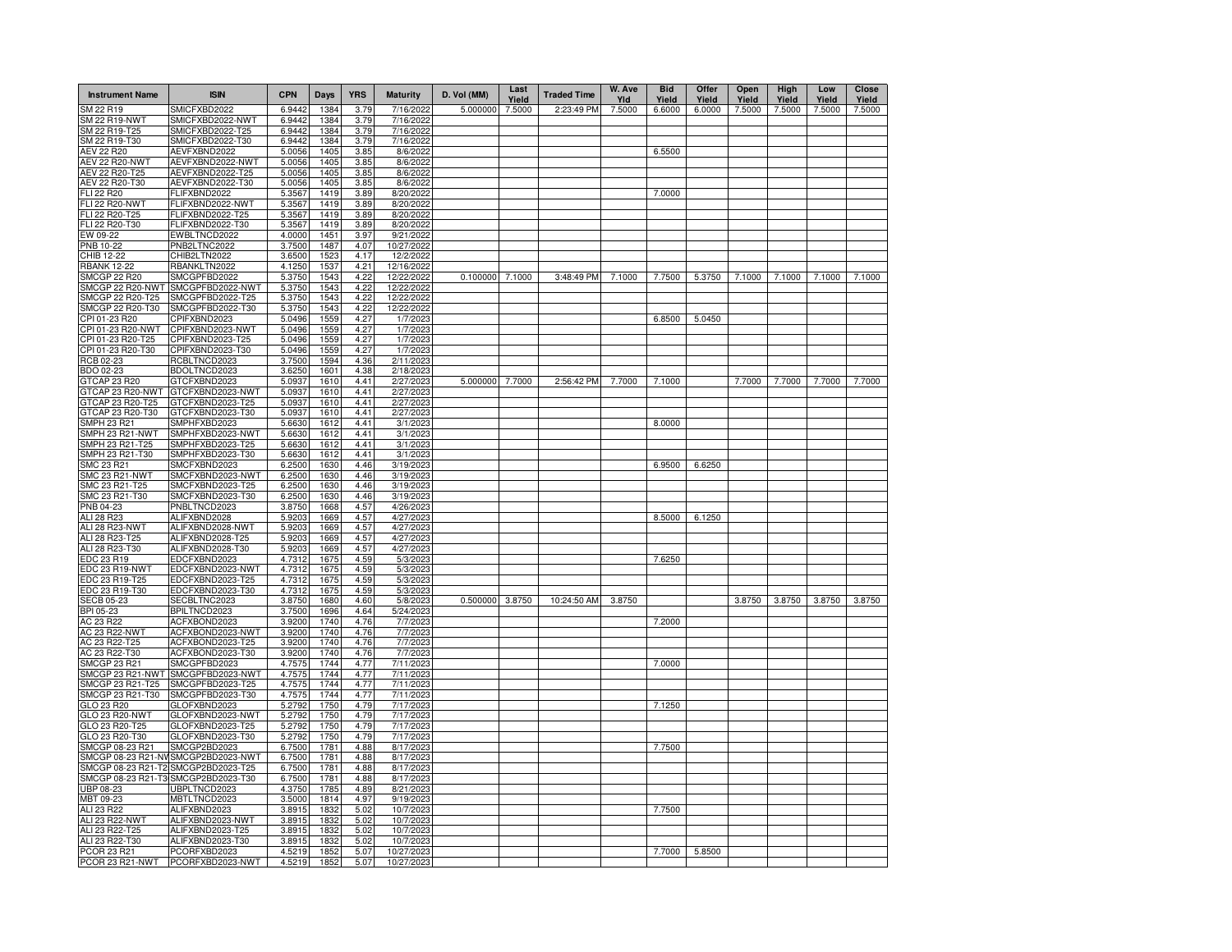| <b>Instrument Name</b>                  | <b>ISIN</b>                          | <b>CPN</b>       | Days         | <b>YRS</b>   | <b>Maturity</b>          | D. Vol (MM)     | Last<br>Yield | <b>Traded Time</b> | W. Ave<br>Yld | <b>Bid</b><br>Yield | Offer<br>Yield | Open<br>Yield | High<br>Yield | Low<br>Yield | Close<br>Yield |
|-----------------------------------------|--------------------------------------|------------------|--------------|--------------|--------------------------|-----------------|---------------|--------------------|---------------|---------------------|----------------|---------------|---------------|--------------|----------------|
| SM 22 R19                               | SMICFXBD2022                         | 6.9442           | 1384         | 3.79         | 7/16/2022                | 5.000000        | 7.5000        | 2:23:49 PM         | 7.5000        | 6.6000              | 6.0000         | 7.5000        | 7.5000        | 7.5000       | 7.5000         |
| <b>SM 22 R19-NWT</b>                    | SMICFXBD2022-NWT                     | 6.9442           | 1384         | 3.79         | 7/16/2022                |                 |               |                    |               |                     |                |               |               |              |                |
| SM 22 R19-T25                           | SMICFXBD2022-T25                     | 6.9442           | 1384         | 3.79         | 7/16/2022                |                 |               |                    |               |                     |                |               |               |              |                |
| SM 22 R19-T30<br>AEV 22 R20             | SMICFXBD2022-T30<br>AEVFXBND2022     | 6.9442<br>5.0056 | 1384<br>1405 | 3.79<br>3.85 | 7/16/2022<br>8/6/2022    |                 |               |                    |               | 6.5500              |                |               |               |              |                |
| <b>AEV 22 R20-NWT</b>                   | AEVFXBND2022-NWT                     | 5.0056           | 1405         | 3.85         | 8/6/2022                 |                 |               |                    |               |                     |                |               |               |              |                |
| AEV 22 R20-T25                          | AEVFXBND2022-T25                     | 5.0056           | 1405         | 3.85         | 8/6/2022                 |                 |               |                    |               |                     |                |               |               |              |                |
| AEV 22 R20-T30                          | AEVFXBND2022-T30                     | 5.0056           | 1405         | 3.85         | 8/6/2022                 |                 |               |                    |               |                     |                |               |               |              |                |
| FLI 22 R20                              | FLIFXBND2022                         | 5.3567           | 1419         | 3.89         | 8/20/2022                |                 |               |                    |               | 7.0000              |                |               |               |              |                |
| <b>FLI 22 R20-NWT</b>                   | FLIFXBND2022-NWT                     | 5.3567           | 1419         | 3.89         | 8/20/202                 |                 |               |                    |               |                     |                |               |               |              |                |
| FLI 22 R20-T25                          | FLIFXBND2022-T25                     | 5.3567           | 1419         | 3.89         | 8/20/2022                |                 |               |                    |               |                     |                |               |               |              |                |
| FLI 22 R20-T30                          | FLIFXBND2022-T30                     | 5.3567           | 1419         | 3.89         | 8/20/202                 |                 |               |                    |               |                     |                |               |               |              |                |
| EW 09-22                                | EWBLTNCD2022                         | 4.0000           | 1451         | 3.97         | 9/21/2022                |                 |               |                    |               |                     |                |               |               |              |                |
| <b>PNB 10-22</b>                        | PNB2LTNC2022                         | 3.7500           | 1487         | 4.07         | 10/27/202                |                 |               |                    |               |                     |                |               |               |              |                |
| CHIB 12-22                              | CHIB2LTN2022                         | 3.6500           | 1523         | 4.17         | 12/2/2022                |                 |               |                    |               |                     |                |               |               |              |                |
| <b>RBANK 12-22</b>                      | RBANKLTN2022                         | 4.1250           | 1537         | 4.21         | 12/16/2022               |                 |               |                    |               |                     |                |               |               |              | 7.1000         |
| <b>SMCGP 22 R20</b><br>SMCGP 22 R20-NWT | SMCGPFBD2022<br>SMCGPFBD2022-NWT     | 5.3750<br>5.3750 | 1543<br>1543 | 4.22<br>4.22 | 12/22/2022<br>12/22/2022 | 0.100000 7.1000 |               | 3:48:49 PM         | 7.1000        | 7.7500              | 5.3750         | 7.1000        | 7.1000        | 7.1000       |                |
| SMCGP 22 R20-T25                        | SMCGPFBD2022-T25                     | 5.3750           | 1543         | 4.22         | 12/22/202                |                 |               |                    |               |                     |                |               |               |              |                |
| SMCGP 22 R20-T30                        | SMCGPFBD2022-T30                     | 5.3750           | 1543         | 4.22         | 12/22/2022               |                 |               |                    |               |                     |                |               |               |              |                |
| CPI 01-23 R20                           | CPIFXBND2023                         | 5.0496           | 1559         | 4.27         | 1/7/2023                 |                 |               |                    |               | 6.8500              | 5.0450         |               |               |              |                |
| CPI 01-23 R20-NWT                       | CPIFXBND2023-NWT                     | 5.0496           | 1559         | 4.27         | 1/7/2023                 |                 |               |                    |               |                     |                |               |               |              |                |
| CPI 01-23 R20-T25                       | CPIFXBND2023-T25                     | 5.0496           | 1559         | 4.27         | 1/7/2023                 |                 |               |                    |               |                     |                |               |               |              |                |
| CPI 01-23 R20-T30                       | CPIFXBND2023-T30                     | 5.0496           | 1559         | 4.27         | 1/7/2023                 |                 |               |                    |               |                     |                |               |               |              |                |
| RCB 02-23                               | RCBLTNCD2023                         | 3.7500           | 1594         | 4.36         | 2/11/2023                |                 |               |                    |               |                     |                |               |               |              |                |
| BDO 02-23                               | BDOLTNCD2023                         | 3.6250           | 1601         | 4.38         | 2/18/2023                |                 |               |                    |               |                     |                |               |               |              |                |
| GTCAP 23 R20                            | GTCFXBND2023                         | 5.0937           | 1610         | 4.41         | 2/27/2023                | 5.000000        | 7.7000        | 2:56:42 PM         | 7.7000        | 7.1000              |                | 7.7000        | 7.7000        | 7.7000       | 7.7000         |
| GTCAP 23 R20-NWT                        | GTCFXBND2023-NWT                     | 5.0937           | 1610         | 4.41         | 2/27/2023                |                 |               |                    |               |                     |                |               |               |              |                |
| GTCAP 23 R20-T25                        | GTCFXBND2023-T25                     | 5.0937           | 1610         | 4.41         | 2/27/2023                |                 |               |                    |               |                     |                |               |               |              |                |
| GTCAP 23 R20-T30                        | GTCFXBND2023-T30                     | 5.0937           | 1610         | 4.41         | 2/27/202                 |                 |               |                    |               |                     |                |               |               |              |                |
| SMPH 23 R21                             | SMPHFXBD2023                         | 5.6630           | 1612         | 4.41<br>4.41 | 3/1/202                  |                 |               |                    |               | 8.0000              |                |               |               |              |                |
| SMPH 23 R21-NWT<br>SMPH 23 R21-T25      | SMPHFXBD2023-NWT<br>SMPHFXBD2023-T25 | 5.6630<br>5.6630 | 1612<br>1612 | 4.41         | 3/1/202<br>3/1/202       |                 |               |                    |               |                     |                |               |               |              |                |
| SMPH 23 R21-T30                         | SMPHFXBD2023-T30                     | 5.6630           | 1612         | 4.41         | 3/1/202                  |                 |               |                    |               |                     |                |               |               |              |                |
| SMC 23 R21                              | SMCFXBND2023                         | 6.2500           | 1630         | 4.46         | 3/19/202                 |                 |               |                    |               | 6.9500              | 6.6250         |               |               |              |                |
| SMC 23 R21-NWT                          | SMCFXBND2023-NWT                     | 6.2500           | 1630         | 4.46         | 3/19/202                 |                 |               |                    |               |                     |                |               |               |              |                |
| SMC 23 R21-T25                          | SMCFXBND2023-T25                     | 6.2500           | 1630         | 4.46         | 3/19/202                 |                 |               |                    |               |                     |                |               |               |              |                |
| SMC 23 R21-T30                          | SMCFXBND2023-T30                     | 6.2500           | 1630         | 4.46         | 3/19/202                 |                 |               |                    |               |                     |                |               |               |              |                |
| PNB 04-23                               | PNBLTNCD2023                         | 3.8750           | 1668         | 4.57         | 4/26/202                 |                 |               |                    |               |                     |                |               |               |              |                |
| <b>ALI 28 R23</b>                       | ALIFXBND2028                         | 5.9203           | 1669         | 4.57         | 4/27/202                 |                 |               |                    |               | 8.5000              | 6.1250         |               |               |              |                |
| ALI 28 R23-NWT                          | ALIFXBND2028-NWT                     | 5.9203           | 1669         | 4.57         | 4/27/202                 |                 |               |                    |               |                     |                |               |               |              |                |
| ALI 28 R23-T25                          | ALIFXBND2028-T25                     | 5.9203           | 1669         | 4.57         | 4/27/202                 |                 |               |                    |               |                     |                |               |               |              |                |
| ALI 28 R23-T30                          | ALIFXBND2028-T30                     | 5.9203           | 1669         | 4.57         | 4/27/202                 |                 |               |                    |               |                     |                |               |               |              |                |
| EDC 23 R19                              | EDCFXBND2023                         | 4.7312           | 1675         | 4.59         | 5/3/2023                 |                 |               |                    |               | 7.6250              |                |               |               |              |                |
| EDC 23 R19-NWT<br>EDC 23 R19-T25        | EDCFXBND2023-NWT<br>EDCFXBND2023-T25 | 4.7312<br>4.7312 | 1675<br>1675 | 4.59<br>4.59 | 5/3/2023<br>5/3/2023     |                 |               |                    |               |                     |                |               |               |              |                |
| EDC 23 R19-T30                          | EDCFXBND2023-T30                     | 4.7312           | 1675         | 4.59         | 5/3/2023                 |                 |               |                    |               |                     |                |               |               |              |                |
| <b>SECB 05-23</b>                       | SECBLTNC2023                         | 3.8750           | 1680         | 4.60         | 5/8/2023                 | 0.500000        | 3.8750        | 10:24:50 AM        | 3.8750        |                     |                | 3.8750        | 3.8750        | 3.8750       | 3.8750         |
| BPI 05-23                               | BPILTNCD2023                         | 3.7500           | 1696         | 4.64         | 5/24/2023                |                 |               |                    |               |                     |                |               |               |              |                |
| AC 23 R22                               | ACFXBOND2023                         | 3.9200           | 1740         | 4.76         | 7/7/2023                 |                 |               |                    |               | 7.2000              |                |               |               |              |                |
| <b>AC 23 R22-NWT</b>                    | ACFXBOND2023-NWT                     | 3.9200           | 1740         | 4.76         | 7/7/2023                 |                 |               |                    |               |                     |                |               |               |              |                |
| AC 23 R22-T25                           | ACFXBOND2023-T25                     | 3.9200           | 1740         | 4.76         | 7/7/2023                 |                 |               |                    |               |                     |                |               |               |              |                |
| AC 23 R22-T30                           | ACFXBOND2023-T30                     | 3.9200           | 1740         | 4.76         | 7/7/2023                 |                 |               |                    |               |                     |                |               |               |              |                |
| <b>SMCGP 23 R21</b>                     | SMCGPFBD2023                         | 4.7575           | 1744         | 4.77         | 7/11/2023                |                 |               |                    |               | 7.0000              |                |               |               |              |                |
| SMCGP 23 R21-NWT                        | SMCGPFBD2023-NWT                     | 4.7575           | 1744         | 4.77         | 7/11/202                 |                 |               |                    |               |                     |                |               |               |              |                |
| SMCGP 23 R21-T25                        | SMCGPFBD2023-T25                     | 4.7575           | 1744         | 4.77         | 7/11/2023                |                 |               |                    |               |                     |                |               |               |              |                |
| SMCGP 23 R21-T30                        | SMCGPFBD2023-T30<br>GLOFXBND2023     | 4.7575<br>5.2792 | 1744<br>1750 | 4.77<br>4.79 | 7/11/2023<br>7/17/2023   |                 |               |                    |               |                     |                |               |               |              |                |
| GLO 23 R20<br>GLO 23 R20-NWT            | GLOFXBND2023-NWT                     | 5.2792           | 1750         | 4.79         | 7/17/2023                |                 |               |                    |               | 7.1250              |                |               |               |              |                |
| GLO 23 R20-T25                          | GLOFXBND2023-T25                     | 5.2792           | 1750         | 4.79         | 7/17/2023                |                 |               |                    |               |                     |                |               |               |              |                |
| GLO 23 R20-T30                          | GLOFXBND2023-T30                     | 5.2792           | 1750         | 4.79         | 7/17/2023                |                 |               |                    |               |                     |                |               |               |              |                |
| SMCGP 08-23 R21                         | SMCGP2BD2023                         | 6.7500           | 1781         | 4.88         | 8/17/2023                |                 |               |                    |               | 7.7500              |                |               |               |              |                |
| SMCGP 08-23 R21-NV                      | SMCGP2BD2023-NWT                     | 6.7500           | 1781         | 4.88         | 8/17/2023                |                 |               |                    |               |                     |                |               |               |              |                |
| SMCGP 08-23 R21-T2                      | SMCGP2BD2023-T25                     | 6.7500           | 1781         | 4.88         | 8/17/2023                |                 |               |                    |               |                     |                |               |               |              |                |
| SMCGP 08-23 R21-T3                      | SMCGP2BD2023-T30                     | 6.7500           | 1781         | 4.88         | 8/17/2023                |                 |               |                    |               |                     |                |               |               |              |                |
| UBP 08-23                               | UBPLTNCD2023                         | 4.3750           | 1785         | 4.89         | 8/21/2023                |                 |               |                    |               |                     |                |               |               |              |                |
| MBT 09-23                               | MBTLTNCD2023                         | 3.5000           | 1814         | 4.97         | 9/19/2023                |                 |               |                    |               |                     |                |               |               |              |                |
| ALI 23 R22                              | ALIFXBND2023                         | 3.8915           | 1832         | 5.02         | 10/7/2023                |                 |               |                    |               | 7.7500              |                |               |               |              |                |
| ALI 23 R22-NWT                          | ALIFXBND2023-NWT                     | 3.8915           | 1832         | 5.02         | 10/7/2023                |                 |               |                    |               |                     |                |               |               |              |                |
| ALI 23 R22-T25                          | ALIFXBND2023-T25                     | 3.8915           | 1832         | 5.02         | 10/7/2023                |                 |               |                    |               |                     |                |               |               |              |                |
| ALI 23 R22-T30                          | ALIFXBND2023-T30                     | 3.8915           | 1832         | 5.02         | 10/7/2023                |                 |               |                    |               |                     |                |               |               |              |                |
| PCOR 23 R21<br>PCOR 23 R21-NWT          | PCORFXBD2023<br>PCORFXBD2023-NWT     | 4.5219<br>4.5219 | 1852<br>1852 | 5.07<br>5.07 | 10/27/2023<br>10/27/2023 |                 |               |                    |               | 7.7000              | 5.8500         |               |               |              |                |
|                                         |                                      |                  |              |              |                          |                 |               |                    |               |                     |                |               |               |              |                |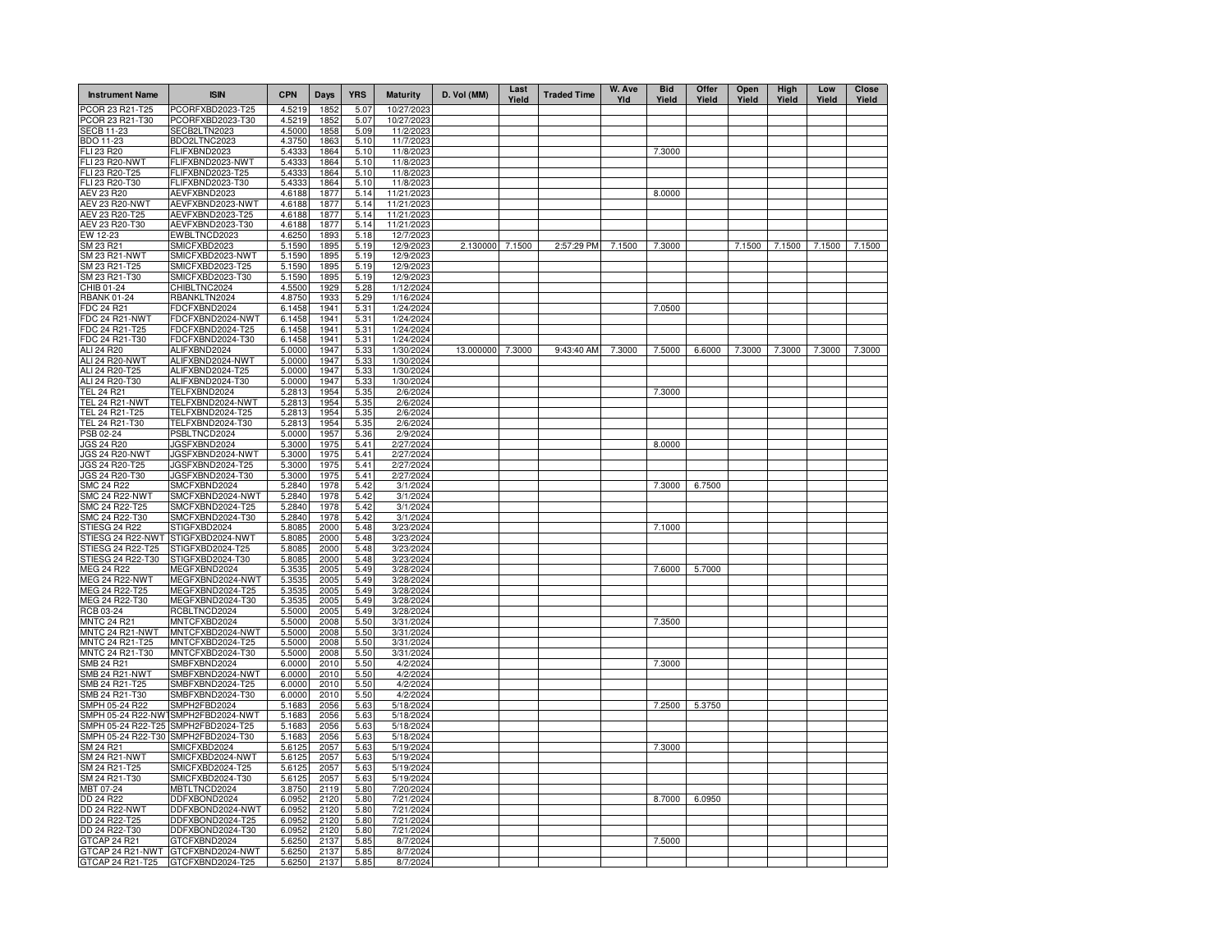| <b>Instrument Name</b>         | <b>ISIN</b>                          | <b>CPN</b>       | Days         | <b>YRS</b>   | <b>Maturity</b>        | D. Vol (MM)      | Last<br>Yield | <b>Traded Time</b> | W. Ave<br>YId | <b>Bid</b><br>Yield | Offer<br>Yield | Open<br>Yield | High<br>Yield | Low<br>Yield | <b>Close</b><br>Yield |
|--------------------------------|--------------------------------------|------------------|--------------|--------------|------------------------|------------------|---------------|--------------------|---------------|---------------------|----------------|---------------|---------------|--------------|-----------------------|
| PCOR 23 R21-T25                | PCORFXBD2023-T25                     | 4.5219           | 1852         | 5.07         | 10/27/2023             |                  |               |                    |               |                     |                |               |               |              |                       |
| PCOR 23 R21-T30                | PCORFXBD2023-T30                     | 4.5219           | 1852         | 5.07         | 10/27/2023             |                  |               |                    |               |                     |                |               |               |              |                       |
| <b>SECB 11-23</b>              | SECB2LTN2023                         | 4.5000           | 1858         | 5.09         | 11/2/2023              |                  |               |                    |               |                     |                |               |               |              |                       |
| BDO 11-23<br>FLI 23 R20        | BDO2LTNC2023<br>FLIFXBND2023         | 4.3750<br>5.4333 | 1863<br>1864 | 5.10<br>5.10 | 11/7/2023<br>11/8/2023 |                  |               |                    |               | 7.3000              |                |               |               |              |                       |
| FLI 23 R20-NWT                 | FLIFXBND2023-NWT                     | 5.4333           | 1864         | 5.10         | 11/8/2023              |                  |               |                    |               |                     |                |               |               |              |                       |
| FLI 23 R20-T25                 | FLIFXBND2023-T25                     | 5.4333           | 1864         | 5.10         | 11/8/2023              |                  |               |                    |               |                     |                |               |               |              |                       |
| FLI 23 R20-T30                 | FLIFXBND2023-T30                     | 5.4333           | 1864         | 5.10         | 11/8/2023              |                  |               |                    |               |                     |                |               |               |              |                       |
| <b>AEV 23 R20</b>              | AEVFXBND2023                         | 4.6188           | 1877         | 5.14         | 11/21/2023             |                  |               |                    |               | 8.0000              |                |               |               |              |                       |
| <b>AEV 23 R20-NWT</b>          | AEVFXBND2023-NWT                     | 4.6188           | 1877         | 5.14         | 11/21/2023             |                  |               |                    |               |                     |                |               |               |              |                       |
| AEV 23 R20-T25                 | AEVFXBND2023-T25                     | 4.6188           | 1877         | 5.14         | 11/21/2023             |                  |               |                    |               |                     |                |               |               |              |                       |
| AEV 23 R20-T30                 | AEVFXBND2023-T30                     | 4.6188           | 1877         | 5.14         | 11/21/2023             |                  |               |                    |               |                     |                |               |               |              |                       |
| EW 12-23                       | EWBLTNCD2023                         | 4.6250           | 1893         | 5.18         | 12/7/2023              |                  |               |                    |               |                     |                |               |               |              |                       |
| SM 23 R21                      | SMICFXBD2023                         | 5.1590           | 1895         | 5.19         | 12/9/2023              | 2.130000 7.1500  |               | 2:57:29 PM         | 7.1500        | 7.3000              |                | 7.1500        | 7.1500        | 7.1500       | 7.1500                |
| SM 23 R21-NWT                  | SMICFXBD2023-NWT                     | 5.1590           | 1895         | 5.19         | 12/9/2023              |                  |               |                    |               |                     |                |               |               |              |                       |
| SM 23 R21-T25<br>SM 23 R21-T30 | SMICFXBD2023-T25<br>SMICFXBD2023-T30 | 5.1590<br>5.1590 | 1895<br>1895 | 5.19<br>5.19 | 12/9/2023<br>12/9/2023 |                  |               |                    |               |                     |                |               |               |              |                       |
| CHIB 01-24                     | CHIBLTNC2024                         | 4.5500           | 1929         | 5.28         | 1/12/2024              |                  |               |                    |               |                     |                |               |               |              |                       |
| <b>RBANK 01-24</b>             | RBANKLTN2024                         | 4.8750           | 1933         | 5.29         | 1/16/2024              |                  |               |                    |               |                     |                |               |               |              |                       |
| FDC 24 R21                     | FDCFXBND2024                         | 6.1458           | 1941         | 5.31         | 1/24/2024              |                  |               |                    |               | 7.0500              |                |               |               |              |                       |
| FDC 24 R21-NWT                 | FDCFXBND2024-NWT                     | 6.1458           | 1941         | 5.31         | 1/24/2024              |                  |               |                    |               |                     |                |               |               |              |                       |
| FDC 24 R21-T25                 | FDCFXBND2024-T25                     | 6.1458           | 1941         | 5.31         | 1/24/2024              |                  |               |                    |               |                     |                |               |               |              |                       |
| FDC 24 R21-T30                 | FDCFXBND2024-T30                     | 6.1458           | 1941         | 5.31         | 1/24/2024              |                  |               |                    |               |                     |                |               |               |              |                       |
| ALI 24 R20                     | ALIFXBND2024                         | 5.0000           | 1947         | 5.33         | 1/30/2024              | 13.000000 7.3000 |               | 9:43:40 AM         | 7.3000        | 7.5000              | 6.6000         | 7.3000        | 7.3000        | 7.3000       | 7.3000                |
| <b>ALI 24 R20-NWT</b>          | ALIFXBND2024-NWT                     | 5.0000           | 1947         | 5.33         | 1/30/2024              |                  |               |                    |               |                     |                |               |               |              |                       |
| ALI 24 R20-T25                 | ALIFXBND2024-T25                     | 5.0000           | 1947         | 5.33         | 1/30/2024              |                  |               |                    |               |                     |                |               |               |              |                       |
| ALI 24 R20-T30                 | ALIFXBND2024-T30                     | 5.0000           | 1947         | 5.33         | 1/30/2024              |                  |               |                    |               |                     |                |               |               |              |                       |
| <b>TEL 24 R21</b>              | TELFXBND2024                         | 5.2813           | 1954         | 5.35         | 2/6/2024               |                  |               |                    |               | 7.3000              |                |               |               |              |                       |
| <b>TEL 24 R21-NWT</b>          | TELFXBND2024-NWT                     | 5.2813           | 1954         | 5.35         | 2/6/2024               |                  |               |                    |               |                     |                |               |               |              |                       |
| TEL 24 R21-T25                 | TELFXBND2024-T25                     | 5.2813           | 1954         | 5.35         | 2/6/2024               |                  |               |                    |               |                     |                |               |               |              |                       |
| TEL 24 R21-T30                 | TELFXBND2024-T30                     | 5.2813           | 1954         | 5.35         | 2/6/2024               |                  |               |                    |               |                     |                |               |               |              |                       |
| PSB 02-24                      | PSBLTNCD2024<br>JGSFXBND2024         | 5.0000<br>5.3000 | 1957<br>1975 | 5.36         | 2/9/2024<br>2/27/2024  |                  |               |                    |               |                     |                |               |               |              |                       |
| JGS 24 R20<br>JGS 24 R20-NWT   | JGSFXBND2024-NWT                     | 5.3000           | 1975         | 5.41<br>5.41 | 2/27/2024              |                  |               |                    |               | 8.0000              |                |               |               |              |                       |
| JGS 24 R20-T25                 | JGSFXBND2024-T25                     | 5.3000           | 1975         | 5.41         | 2/27/2024              |                  |               |                    |               |                     |                |               |               |              |                       |
| JGS 24 R20-T30                 | JGSFXBND2024-T30                     | 5.3000           | 1975         | 5.41         | 2/27/2024              |                  |               |                    |               |                     |                |               |               |              |                       |
| <b>SMC 24 R22</b>              | SMCFXBND2024                         | 5.2840           | 1978         | 5.42         | 3/1/2024               |                  |               |                    |               | 7.3000              | 6.7500         |               |               |              |                       |
| <b>SMC 24 R22-NWT</b>          | SMCFXBND2024-NWT                     | 5.2840           | 1978         | 5.42         | 3/1/2024               |                  |               |                    |               |                     |                |               |               |              |                       |
| SMC 24 R22-T25                 | SMCFXBND2024-T25                     | 5.2840           | 1978         | 5.42         | 3/1/2024               |                  |               |                    |               |                     |                |               |               |              |                       |
| SMC 24 R22-T30                 | SMCFXBND2024-T30                     | 5.2840           | 1978         | 5.42         | 3/1/2024               |                  |               |                    |               |                     |                |               |               |              |                       |
| STIESG 24 R22                  | STIGFXBD2024                         | 5.8085           | 2000         | 5.48         | 3/23/2024              |                  |               |                    |               | 7.1000              |                |               |               |              |                       |
| STIESG 24 R22-NWT              | STIGFXBD2024-NWT                     | 5.8085           | 2000         | 5.48         | 3/23/2024              |                  |               |                    |               |                     |                |               |               |              |                       |
| STIESG 24 R22-T25              | STIGFXBD2024-T25                     | 5.8085           | 2000         | 5.48         | 3/23/2024              |                  |               |                    |               |                     |                |               |               |              |                       |
| STIESG 24 R22-T30              | STIGFXBD2024-T30                     | 5.8085           | 2000         | 5.48         | 3/23/2024              |                  |               |                    |               |                     |                |               |               |              |                       |
| MEG 24 R22                     | MEGFXBND2024                         | 5.3535           | 2005         | 5.49         | 3/28/2024              |                  |               |                    |               | 7.6000              | 5.7000         |               |               |              |                       |
| <b>MEG 24 R22-NWT</b>          | MEGFXBND2024-NWT                     | 5.3535           | 2005         | 5.49         | 3/28/2024              |                  |               |                    |               |                     |                |               |               |              |                       |
| MEG 24 R22-T25                 | MEGFXBND2024-T25                     | 5.3535           | 2005         | 5.49         | 3/28/2024              |                  |               |                    |               |                     |                |               |               |              |                       |
| MEG 24 R22-T30<br>RCB 03-24    | MEGFXBND2024-T30<br>RCBLTNCD2024     | 5.3535<br>5.5000 | 2005<br>2005 | 5.49<br>5.49 | 3/28/2024<br>3/28/2024 |                  |               |                    |               |                     |                |               |               |              |                       |
| <b>MNTC 24 R21</b>             | MNTCFXBD2024                         | 5.5000           | 2008         | 5.50         | 3/31/2024              |                  |               |                    |               | 7.3500              |                |               |               |              |                       |
| MNTC 24 R21-NWT                | MNTCFXBD2024-NWT                     | 5.5000           | 2008         | 5.50         | 3/31/2024              |                  |               |                    |               |                     |                |               |               |              |                       |
| MNTC 24 R21-T25                | MNTCFXBD2024-T25                     | 5.5000           | 2008         | 5.50         | 3/31/2024              |                  |               |                    |               |                     |                |               |               |              |                       |
| MNTC 24 R21-T30                | MNTCFXBD2024-T30                     | 5.5000           | 2008         | 5.50         | 3/31/2024              |                  |               |                    |               |                     |                |               |               |              |                       |
| SMB 24 R21                     | SMBFXBND2024                         | 6.0000           | 2010         | 5.50         | 4/2/2024               |                  |               |                    |               | 7.3000              |                |               |               |              |                       |
| SMB 24 R21-NWT                 | SMBFXBND2024-NWT                     | 6.0000           | 2010         | 5.50         | 4/2/2024               |                  |               |                    |               |                     |                |               |               |              |                       |
| SMB 24 R21-T25                 | SMBFXBND2024-T25                     | 6.0000           | 2010         | 5.50         | 4/2/2024               |                  |               |                    |               |                     |                |               |               |              |                       |
| SMB 24 R21-T30                 | SMBFXBND2024-T30                     | 6.0000           | 2010         | 5.50         | 4/2/2024               |                  |               |                    |               |                     |                |               |               |              |                       |
| SMPH 05-24 R22                 | SMPH2FBD2024                         | 5.1683           | 2056         | 5.63         | 5/18/2024              |                  |               |                    |               | 7.2500              | 5.3750         |               |               |              |                       |
| SMPH 05-24 R22-NW              | SMPH2FBD2024-NWT                     | 5.1683           | 2056         | 5.63         | 5/18/2024              |                  |               |                    |               |                     |                |               |               |              |                       |
| SMPH 05-24 R22-T25             | SMPH2FBD2024-T25                     | 5.1683           | 2056         | 5.63         | 5/18/2024              |                  |               |                    |               |                     |                |               |               |              |                       |
| SMPH 05-24 R22-T30             | SMPH2FBD2024-T30                     | 5.1683           | 2056         | 5.63         | 5/18/2024              |                  |               |                    |               |                     |                |               |               |              |                       |
| SM 24 R21                      | SMICFXBD2024                         | 5.6125           | 2057         | 5.63         | 5/19/2024              |                  |               |                    |               | 7.3000              |                |               |               |              |                       |
| SM 24 R21-NWT<br>SM 24 R21-T25 | SMICFXBD2024-NWT<br>SMICFXBD2024-T25 | 5.6125<br>5.6125 | 2057<br>2057 | 5.63<br>5.63 | 5/19/2024<br>5/19/2024 |                  |               |                    |               |                     |                |               |               |              |                       |
| SM 24 R21-T30                  | SMICFXBD2024-T30                     | 5.6125           | 2057         | 5.63         | 5/19/2024              |                  |               |                    |               |                     |                |               |               |              |                       |
| MBT 07-24                      | MBTLTNCD2024                         | 3.8750           | 2119         | 5.80         | 7/20/2024              |                  |               |                    |               |                     |                |               |               |              |                       |
| DD 24 R22                      | DDFXBOND2024                         | 6.0952           | 2120         | 5.80         | 7/21/2024              |                  |               |                    |               | 8.7000              | 6.0950         |               |               |              |                       |
| DD 24 R22-NWT                  | DDFXBOND2024-NWT                     | 6.0952           | 2120         | 5.80         | 7/21/2024              |                  |               |                    |               |                     |                |               |               |              |                       |
| DD 24 R22-T25                  | DDFXBOND2024-T25                     | 6.0952           | 2120         | 5.80         | 7/21/2024              |                  |               |                    |               |                     |                |               |               |              |                       |
| DD 24 R22-T30                  | DDFXBOND2024-T30                     | 6.0952           | 2120         | 5.80         | 7/21/2024              |                  |               |                    |               |                     |                |               |               |              |                       |
| GTCAP 24 R21                   | GTCFXBND2024                         | 5.6250           | 2137         | 5.85         | 8/7/2024               |                  |               |                    |               | 7.5000              |                |               |               |              |                       |
|                                | GTCAP 24 R21-NWT GTCFXBND2024-NWT    | 5.6250           | 2137         | 5.85         | 8/7/2024               |                  |               |                    |               |                     |                |               |               |              |                       |
| GTCAP 24 R21-T25               | GTCFXBND2024-T25                     | 5.6250           | 2137         | 5.85         | 8/7/2024               |                  |               |                    |               |                     |                |               |               |              |                       |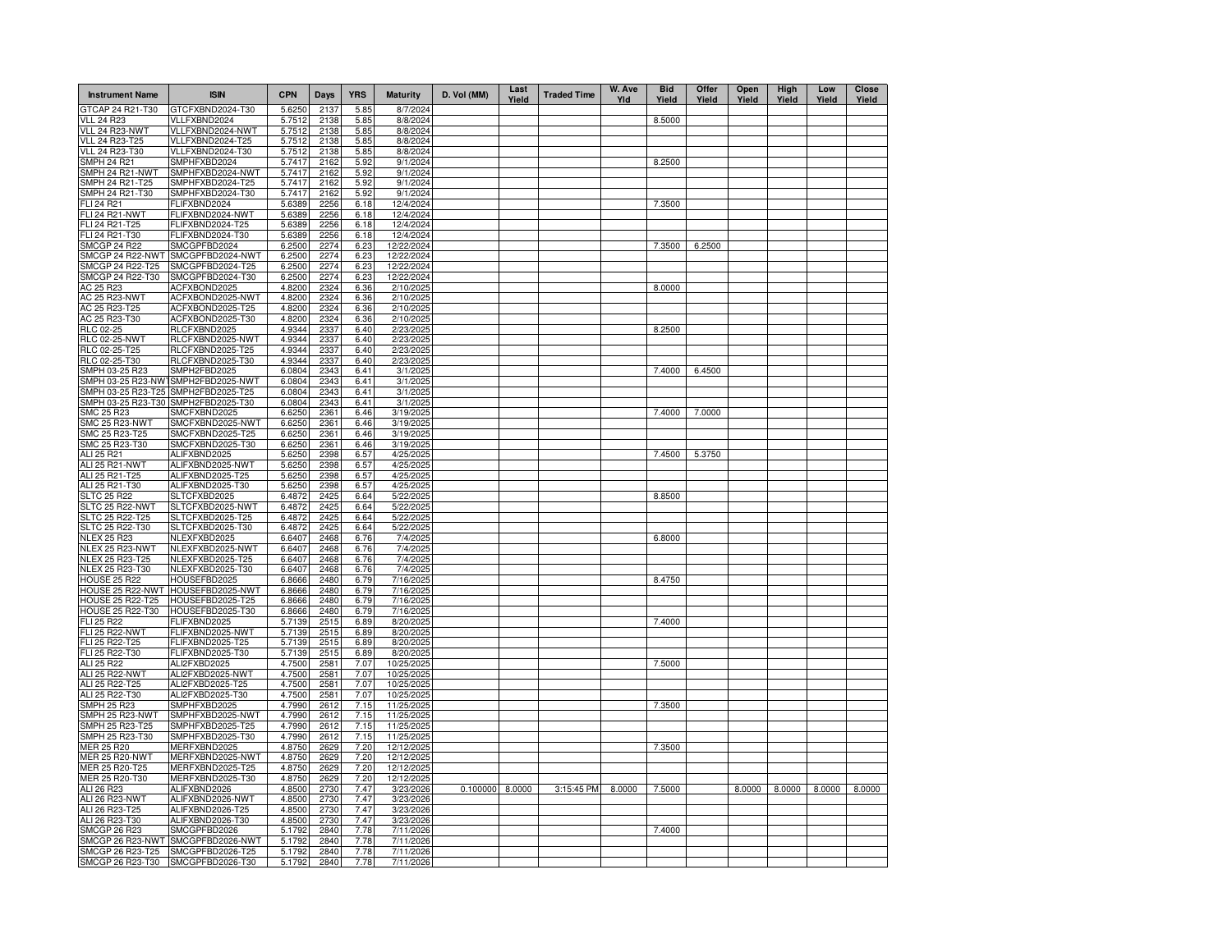| <b>Instrument Name</b>                | <b>ISIN</b>                          | <b>CPN</b>       | Days         | <b>YRS</b>   | <b>Maturity</b>        | D. Vol (MM)     | Last<br>Yield | <b>Traded Time</b> | W. Ave<br>Yld | <b>Bid</b><br>Yield | Offer<br>Yield | Open<br>Yield | High<br>Yield | Low<br>Yield | <b>Close</b><br>Yield |
|---------------------------------------|--------------------------------------|------------------|--------------|--------------|------------------------|-----------------|---------------|--------------------|---------------|---------------------|----------------|---------------|---------------|--------------|-----------------------|
| GTCAP 24 R21-T30                      | GTCFXBND2024-T30                     | 5.6250           | 2137         | 5.85         | 8/7/2024               |                 |               |                    |               |                     |                |               |               |              |                       |
| <b>VLL 24 R23</b>                     | VLLFXBND2024                         | 5.7512           | 2138         | 5.85         | 8/8/2024               |                 |               |                    |               | 8.5000              |                |               |               |              |                       |
| VLL 24 R23-NWT                        | VLLFXBND2024-NWT                     | 5.7512           | 2138         | 5.85         | 8/8/2024               |                 |               |                    |               |                     |                |               |               |              |                       |
| VLL 24 R23-T25                        | VLLFXBND2024-T25                     | 5.7512           | 2138         | 5.85         | 8/8/2024               |                 |               |                    |               |                     |                |               |               |              |                       |
| VLL 24 R23-T30                        | VLLFXBND2024-T30                     | 5.7512           | 2138         | 5.85         | 8/8/2024               |                 |               |                    |               |                     |                |               |               |              |                       |
| <b>SMPH 24 R21</b><br>SMPH 24 R21-NWT | SMPHFXBD2024<br>SMPHFXBD2024-NWT     | 5.7417<br>5.7417 | 2162<br>2162 | 5.92<br>5.92 | 9/1/2024<br>9/1/2024   |                 |               |                    |               | 8.2500              |                |               |               |              |                       |
| SMPH 24 R21-T25                       | SMPHFXBD2024-T25                     | 5.7417           | 2162         | 5.92         | 9/1/2024               |                 |               |                    |               |                     |                |               |               |              |                       |
| SMPH 24 R21-T30                       | SMPHFXBD2024-T30                     | 5.7417           | 2162         | 5.92         | 9/1/2024               |                 |               |                    |               |                     |                |               |               |              |                       |
| <b>FLI 24 R21</b>                     | FLIFXBND2024                         | 5.6389           | 2256         | 6.18         | 12/4/2024              |                 |               |                    |               | 7.3500              |                |               |               |              |                       |
| FLI 24 R21-NWT                        | FLIFXBND2024-NWT                     | 5.6389           | 2256         | 6.18         | 12/4/2024              |                 |               |                    |               |                     |                |               |               |              |                       |
| FLI 24 R21-T25                        | FLIFXBND2024-T25                     | 5.6389           | 2256         | 6.18         | 12/4/2024              |                 |               |                    |               |                     |                |               |               |              |                       |
| FLI 24 R21-T30                        | FLIFXBND2024-T30                     | 5.6389           | 2256         | 6.18         | 12/4/2024              |                 |               |                    |               |                     |                |               |               |              |                       |
| <b>SMCGP 24 R22</b>                   | SMCGPFBD2024                         | 6.2500           | 2274         | 6.23         | 12/22/2024             |                 |               |                    |               | 7.3500              | 6.2500         |               |               |              |                       |
| SMCGP 24 R22-NWT                      | SMCGPFBD2024-NWT                     | 6.2500           | 2274         | 6.23         | 12/22/2024             |                 |               |                    |               |                     |                |               |               |              |                       |
| SMCGP 24 R22-T25                      | SMCGPFBD2024-T25                     | 6.2500           | 2274         | 6.23         | 12/22/2024             |                 |               |                    |               |                     |                |               |               |              |                       |
| SMCGP 24 R22-T30                      | SMCGPFBD2024-T30                     | 6.2500           | 2274         | 6.23         | 12/22/2024             |                 |               |                    |               |                     |                |               |               |              |                       |
| AC 25 R23                             | ACFXBOND2025                         | 4.8200           | 2324         | 6.36         | 2/10/2025              |                 |               |                    |               | 8.0000              |                |               |               |              |                       |
| AC 25 R23-NWT                         | ACFXBOND2025-NWT                     | 4.8200           | 2324         | 6.36         | 2/10/2025              |                 |               |                    |               |                     |                |               |               |              |                       |
| AC 25 R23-T25<br>AC 25 R23-T30        | ACFXBOND2025-T25<br>ACFXBOND2025-T30 | 4.8200<br>4.8200 | 2324<br>2324 | 6.36         | 2/10/2025<br>2/10/2025 |                 |               |                    |               |                     |                |               |               |              |                       |
| RLC 02-25                             | RLCFXBND2025                         | 4.9344           | 2337         | 6.36<br>6.40 | 2/23/2025              |                 |               |                    |               | 8.2500              |                |               |               |              |                       |
| <b>RLC 02-25-NWT</b>                  | RLCFXBND2025-NWT                     | 4.9344           | 2337         | 6.40         | 2/23/2025              |                 |               |                    |               |                     |                |               |               |              |                       |
| RLC 02-25-T25                         | RLCFXBND2025-T25                     | 4.9344           | 2337         | 6.40         | 2/23/2025              |                 |               |                    |               |                     |                |               |               |              |                       |
| RLC 02-25-T30                         | RLCFXBND2025-T30                     | 4.9344           | 2337         | 6.40         | 2/23/2025              |                 |               |                    |               |                     |                |               |               |              |                       |
| SMPH 03-25 R23                        | SMPH2FBD2025                         | 6.0804           | 2343         | 6.41         | 3/1/2025               |                 |               |                    |               | 7.4000              | 6.4500         |               |               |              |                       |
|                                       | SMPH 03-25 R23-NW1SMPH2FBD2025-NWT   | 6.0804           | 2343         | 6.41         | 3/1/2025               |                 |               |                    |               |                     |                |               |               |              |                       |
| SMPH 03-25 R23-T25                    | SMPH2FBD2025-T25                     | 6.0804           | 2343         | 6.41         | 3/1/2025               |                 |               |                    |               |                     |                |               |               |              |                       |
| SMPH 03-25 R23-T30                    | SMPH2FBD2025-T30                     | 6.0804           | 2343         | 6.41         | 3/1/2025               |                 |               |                    |               |                     |                |               |               |              |                       |
| SMC 25 R23                            | SMCFXBND2025                         | 6.6250           | 2361         | 6.46         | 3/19/2025              |                 |               |                    |               | 7.4000              | 7.0000         |               |               |              |                       |
| SMC 25 R23-NWT                        | SMCFXBND2025-NWT                     | 6.6250           | 2361         | 6.46         | 3/19/2025              |                 |               |                    |               |                     |                |               |               |              |                       |
| SMC 25 R23-T25                        | SMCFXBND2025-T25                     | 6.6250           | 2361         | 6.46         | 3/19/2025              |                 |               |                    |               |                     |                |               |               |              |                       |
| SMC 25 R23-T30                        | SMCFXBND2025-T30                     | 6.6250           | 2361         | 6.46         | 3/19/2025              |                 |               |                    |               |                     |                |               |               |              |                       |
| ALI 25 R21                            | ALIFXBND2025                         | 5.6250           | 2398         | 6.57         | 4/25/2025              |                 |               |                    |               | 7.4500              | 5.3750         |               |               |              |                       |
| ALI 25 R21-NWT                        | ALIFXBND2025-NWT                     | 5.6250           | 2398         | 6.57         | 4/25/2025              |                 |               |                    |               |                     |                |               |               |              |                       |
| ALI 25 R21-T25                        | ALIFXBND2025-T25                     | 5.6250           | 2398         | 6.57         | 4/25/2025              |                 |               |                    |               |                     |                |               |               |              |                       |
| ALI 25 R21-T30<br><b>SLTC 25 R22</b>  | ALIFXBND2025-T30<br>SLTCFXBD2025     | 5.6250<br>6.4872 | 2398<br>2425 | 6.57<br>6.64 | 4/25/2025<br>5/22/2025 |                 |               |                    |               | 8.8500              |                |               |               |              |                       |
| SLTC 25 R22-NWT                       | SLTCFXBD2025-NWT                     | 6.4872           | 2425         | 6.64         | 5/22/2025              |                 |               |                    |               |                     |                |               |               |              |                       |
| <b>SLTC 25 R22-T25</b>                | SLTCFXBD2025-T25                     | 6.4872           | 2425         | 6.64         | 5/22/2025              |                 |               |                    |               |                     |                |               |               |              |                       |
| SLTC 25 R22-T30                       | SLTCFXBD2025-T30                     | 6.4872           | 2425         | 6.64         | 5/22/2025              |                 |               |                    |               |                     |                |               |               |              |                       |
| <b>NLEX 25 R23</b>                    | NLEXFXBD2025                         | 6.6407           | 2468         | 6.76         | 7/4/2025               |                 |               |                    |               | 6.8000              |                |               |               |              |                       |
| NLEX 25 R23-NWT                       | NLEXFXBD2025-NWT                     | 6.6407           | 2468         | 6.76         | 7/4/2025               |                 |               |                    |               |                     |                |               |               |              |                       |
| NLEX 25 R23-T25                       | NLEXFXBD2025-T25                     | 6.6407           | 2468         | 6.76         | 7/4/2025               |                 |               |                    |               |                     |                |               |               |              |                       |
| NLEX 25 R23-T30                       | NLEXFXBD2025-T30                     | 6.6407           | 2468         | 6.76         | 7/4/2025               |                 |               |                    |               |                     |                |               |               |              |                       |
| <b>HOUSE 25 R22</b>                   | HOUSEFBD2025                         | 6.8666           | 2480         | 6.79         | 7/16/2025              |                 |               |                    |               | 8.4750              |                |               |               |              |                       |
| HOUSE 25 R22-NWT                      | HOUSEFBD2025-NWT                     | 6.8666           | 2480         | 6.79         | 7/16/2025              |                 |               |                    |               |                     |                |               |               |              |                       |
| <b>HOUSE 25 R22-T25</b>               | HOUSEFBD2025-T25                     | 6.8666           | 2480         | 6.79         | 7/16/2025              |                 |               |                    |               |                     |                |               |               |              |                       |
| HOUSE 25 R22-T30                      | HOUSEFBD2025-T30                     | 6.8666           | 2480         | 6.79         | 7/16/2025              |                 |               |                    |               |                     |                |               |               |              |                       |
| FLI 25 R22                            | FLIFXBND2025                         | 5.7139           | 2515         | 6.89         | 8/20/2025              |                 |               |                    |               | 7.4000              |                |               |               |              |                       |
| <b>FLI 25 R22-NWT</b>                 | FLIFXBND2025-NWT                     | 5.7139           | 2515         | 6.89         | 8/20/2025              |                 |               |                    |               |                     |                |               |               |              |                       |
| FLI 25 R22-T25<br>FLI 25 R22-T30      | FLIFXBND2025-T25<br>FLIFXBND2025-T30 | 5.7139<br>5.7139 | 2515<br>2515 | 6.89<br>6.89 | 8/20/2025<br>8/20/2025 |                 |               |                    |               |                     |                |               |               |              |                       |
| ALI 25 R22                            | ALI2FXBD2025                         | 4.7500           | 2581         | 7.07         | 10/25/2025             |                 |               |                    |               | 7.5000              |                |               |               |              |                       |
| <b>ALI 25 R22-NWT</b>                 | ALI2FXBD2025-NWT                     | 4.7500           | 2581         | 7.07         | 10/25/2025             |                 |               |                    |               |                     |                |               |               |              |                       |
| ALI 25 R22-T25                        | ALI2FXBD2025-T25                     | 4.7500           | 2581         | 7.07         | 10/25/2025             |                 |               |                    |               |                     |                |               |               |              |                       |
| ALI 25 R22-T30                        | ALI2FXBD2025-T30                     | 4.7500           | 2581         | 7.07         | 10/25/2025             |                 |               |                    |               |                     |                |               |               |              |                       |
| <b>SMPH 25 R23</b>                    | SMPHFXBD2025                         | 4.7990           | 2612         | 7.15         | 11/25/2025             |                 |               |                    |               | 7.3500              |                |               |               |              |                       |
| SMPH 25 R23-NWT                       | SMPHFXBD2025-NWT                     | 4.7990           | 2612         | 7.15         | 11/25/2025             |                 |               |                    |               |                     |                |               |               |              |                       |
| SMPH 25 R23-T25                       | SMPHFXBD2025-T25                     | 4.7990           | 2612         | 7.15         | 11/25/2025             |                 |               |                    |               |                     |                |               |               |              |                       |
| SMPH 25 R23-T30                       | SMPHFXBD2025-T30                     | 4.7990           | 2612         | 7.15         | 11/25/2025             |                 |               |                    |               |                     |                |               |               |              |                       |
| MER 25 R20                            | MERFXBND2025                         | 4.8750           | 2629         | 7.20         | 12/12/2025             |                 |               |                    |               | 7.3500              |                |               |               |              |                       |
| <b>MER 25 R20-NWT</b>                 | MERFXBND2025-NWT                     | 4.8750           | 2629         | 7.20         | 12/12/2025             |                 |               |                    |               |                     |                |               |               |              |                       |
| MER 25 R20-T25                        | MERFXBND2025-T25                     | 4.8750           | 2629         | 7.20         | 12/12/2025             |                 |               |                    |               |                     |                |               |               |              |                       |
| MER 25 R20-T30                        | MERFXBND2025-T30                     | 4.8750           | 2629         | 7.20         | 12/12/2025             |                 |               |                    |               |                     |                |               |               |              |                       |
| ALI 26 R23                            | ALIFXBND2026                         | 4.8500           | 2730         | 7.47         | 3/23/2026              | 0.100000 8.0000 |               | 3:15:45 PM         | 8.0000        | 7.5000              |                | 8.0000        | 8.0000        | 8.0000       | 8.0000                |
| <b>ALI 26 R23-NWT</b>                 | ALIFXBND2026-NWT                     | 4.8500           | 2730         | 7.47         | 3/23/2026              |                 |               |                    |               |                     |                |               |               |              |                       |
| ALI 26 R23-T25<br>ALI 26 R23-T30      | ALIFXBND2026-T25<br>ALIFXBND2026-T30 | 4.8500<br>4.8500 | 2730<br>2730 | 7.47<br>7.47 | 3/23/2026<br>3/23/2026 |                 |               |                    |               |                     |                |               |               |              |                       |
| <b>SMCGP 26 R23</b>                   | SMCGPFBD2026                         | 5.1792           | 2840         | 7.78         | 7/11/2026              |                 |               |                    |               | 7.4000              |                |               |               |              |                       |
|                                       | SMCGP 26 R23-NWT SMCGPFBD2026-NWT    | 5.1792           | 2840         | 7.78         | 7/11/2026              |                 |               |                    |               |                     |                |               |               |              |                       |
| SMCGP 26 R23-T25                      | SMCGPFBD2026-T25                     | 5.1792           | 2840         | 7.78         | 7/11/2026              |                 |               |                    |               |                     |                |               |               |              |                       |
| SMCGP 26 R23-T30                      | SMCGPFBD2026-T30                     | 5.1792           | 2840         | 7.78         | 7/11/2026              |                 |               |                    |               |                     |                |               |               |              |                       |